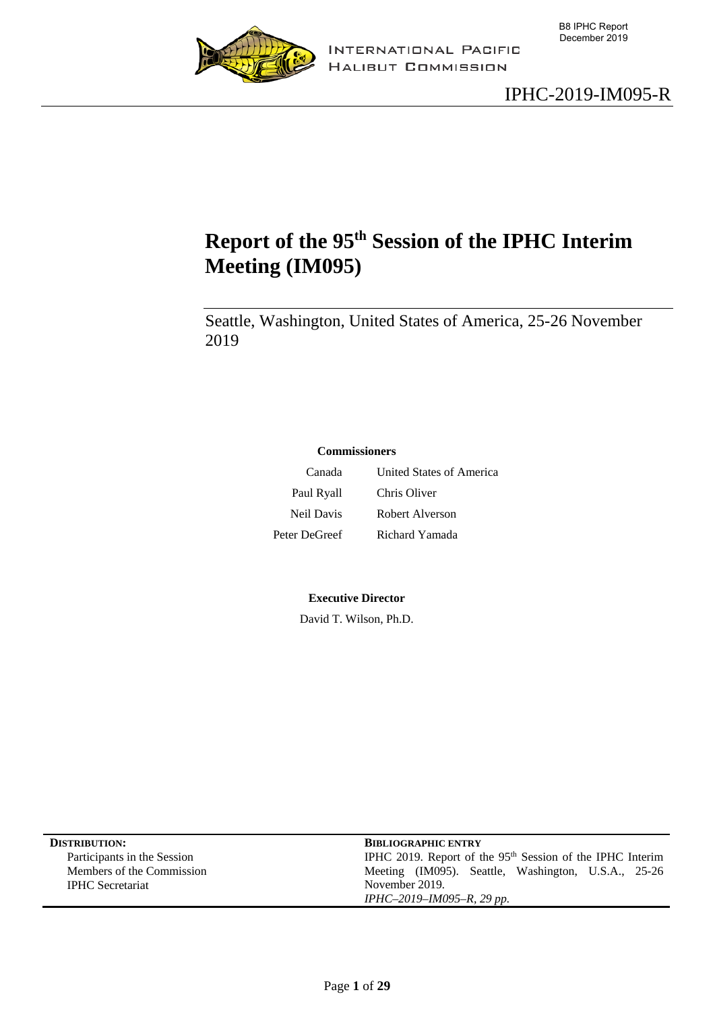



# <span id="page-0-0"></span>**Report of the 95th Session of the IPHC Interim Meeting (IM095)**

Seattle, Washington, United States of America, 25-26 November 2019

#### **Commissioners**

Canada United States of America Paul Ryall Chris Oliver Neil Davis Robert Alverson Peter DeGreef Richard Yamada

**Executive Director**

David T. Wilson, Ph.D.

| <b>DISTRIBUTION:</b>        | <b>BIBLIOGRAPHIC ENTRY</b>                                            |
|-----------------------------|-----------------------------------------------------------------------|
| Participants in the Session | IPHC 2019. Report of the 95 <sup>th</sup> Session of the IPHC Interim |
| Members of the Commission   | Meeting (IM095). Seattle, Washington, U.S.A., 25-26                   |
| <b>IPHC</b> Secretariat     | November 2019.                                                        |
|                             | IPHC-2019-IM095-R, 29 pp.                                             |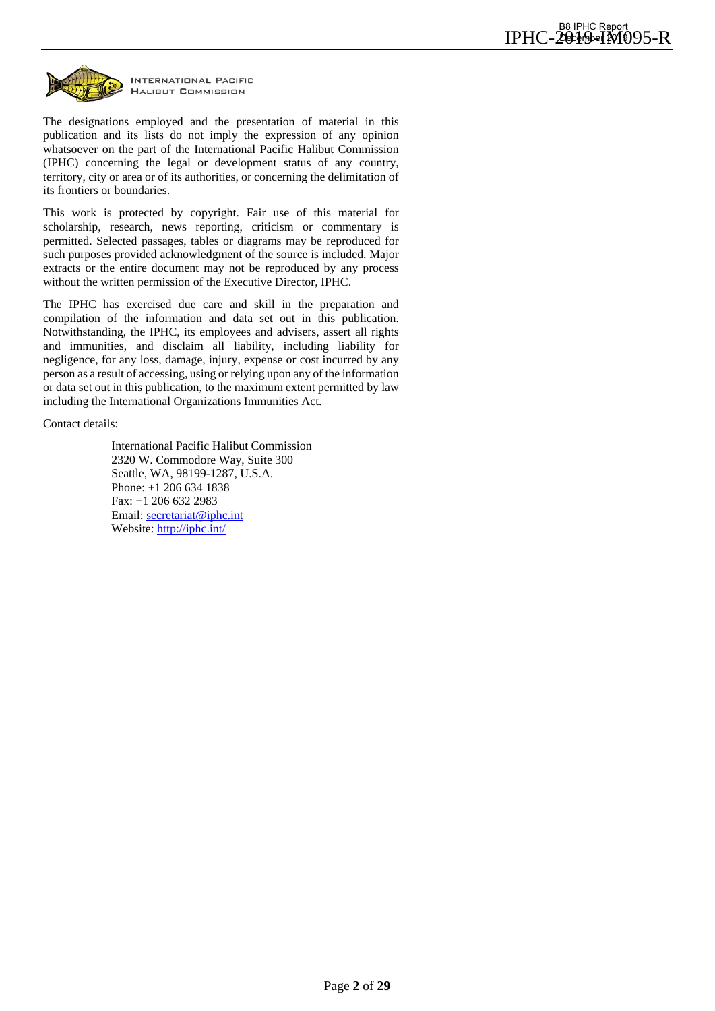

INTERNATIONAL PACIFIC **HALIBUT COMMISSION** 

The designations employed and the presentation of material in this publication and its lists do not imply the expression of any opinion whatsoever on the part of the International Pacific Halibut Commission (IPHC) concerning the legal or development status of any country, territory, city or area or of its authorities, or concerning the delimitation of its frontiers or boundaries.

This work is protected by copyright. Fair use of this material for scholarship, research, news reporting, criticism or commentary is permitted. Selected passages, tables or diagrams may be reproduced for such purposes provided acknowledgment of the source is included. Major extracts or the entire document may not be reproduced by any process without the written permission of the Executive Director, IPHC.

The IPHC has exercised due care and skill in the preparation and compilation of the information and data set out in this publication. Notwithstanding, the IPHC, its employees and advisers, assert all rights and immunities, and disclaim all liability, including liability for negligence, for any loss, damage, injury, expense or cost incurred by any person as a result of accessing, using or relying upon any of the information or data set out in this publication, to the maximum extent permitted by law including the International Organizations Immunities Act.

Contact details:

International Pacific Halibut Commission 2320 W. Commodore Way, Suite 300 Seattle, WA, 98199-1287, U.S.A. Phone: +1 206 634 1838 Fax: +1 206 632 2983 Email: [secretariat@iphc.int](mailto:secretariat@iphc.int)  Website:<http://iphc.int/>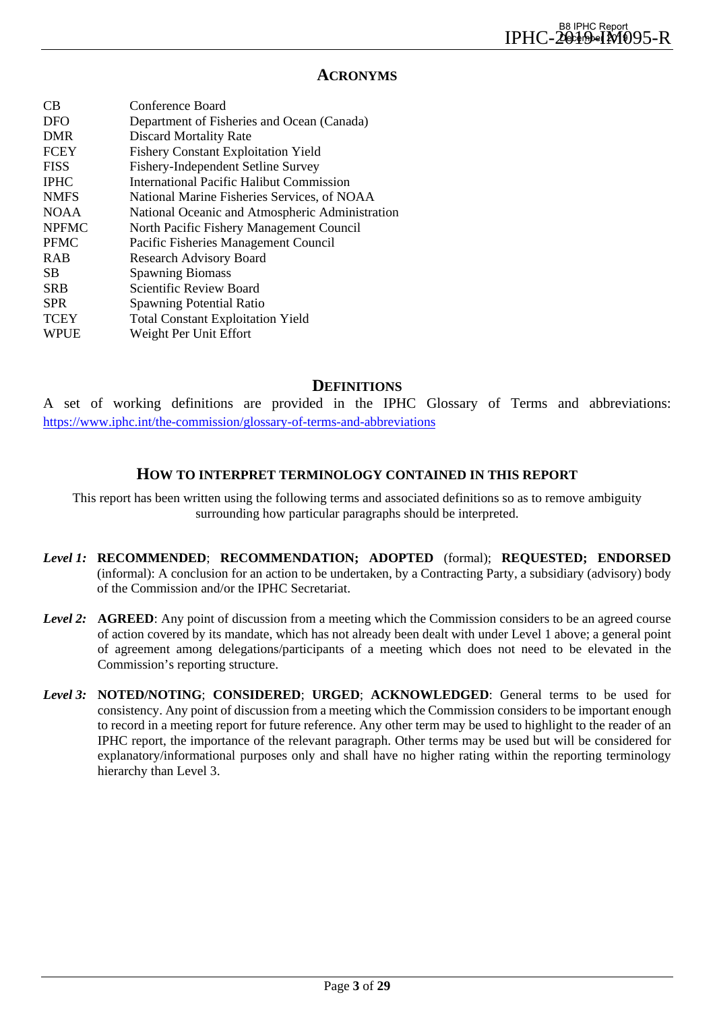#### **ACRONYMS**

| CB           | Conference Board                                |
|--------------|-------------------------------------------------|
| <b>DFO</b>   | Department of Fisheries and Ocean (Canada)      |
| <b>DMR</b>   | <b>Discard Mortality Rate</b>                   |
| <b>FCEY</b>  | <b>Fishery Constant Exploitation Yield</b>      |
| <b>FISS</b>  | Fishery-Independent Setline Survey              |
| <b>IPHC</b>  | International Pacific Halibut Commission        |
| <b>NMFS</b>  | National Marine Fisheries Services, of NOAA     |
| <b>NOAA</b>  | National Oceanic and Atmospheric Administration |
| <b>NPFMC</b> | North Pacific Fishery Management Council        |
| <b>PFMC</b>  | Pacific Fisheries Management Council            |
| <b>RAB</b>   | <b>Research Advisory Board</b>                  |
| <b>SB</b>    | <b>Spawning Biomass</b>                         |
| <b>SRB</b>   | Scientific Review Board                         |
| <b>SPR</b>   | <b>Spawning Potential Ratio</b>                 |
| <b>TCEY</b>  | <b>Total Constant Exploitation Yield</b>        |
| <b>WPUE</b>  | Weight Per Unit Effort                          |
|              |                                                 |

## **DEFINITIONS**

A set of working definitions are provided in the IPHC Glossary of Terms and abbreviations: <https://www.iphc.int/the-commission/glossary-of-terms-and-abbreviations>

#### **HOW TO INTERPRET TERMINOLOGY CONTAINED IN THIS REPORT**

This report has been written using the following terms and associated definitions so as to remove ambiguity surrounding how particular paragraphs should be interpreted.

- *Level 1:* **RECOMMENDED**; **RECOMMENDATION; ADOPTED** (formal); **REQUESTED; ENDORSED** (informal): A conclusion for an action to be undertaken, by a Contracting Party, a subsidiary (advisory) body of the Commission and/or the IPHC Secretariat.
- *Level 2:* **AGREED**: Any point of discussion from a meeting which the Commission considers to be an agreed course of action covered by its mandate, which has not already been dealt with under Level 1 above; a general point of agreement among delegations/participants of a meeting which does not need to be elevated in the Commission's reporting structure.
- *Level 3:* **NOTED/NOTING**; **CONSIDERED**; **URGED**; **ACKNOWLEDGED**: General terms to be used for consistency. Any point of discussion from a meeting which the Commission considers to be important enough to record in a meeting report for future reference. Any other term may be used to highlight to the reader of an IPHC report, the importance of the relevant paragraph. Other terms may be used but will be considered for explanatory/informational purposes only and shall have no higher rating within the reporting terminology hierarchy than Level 3.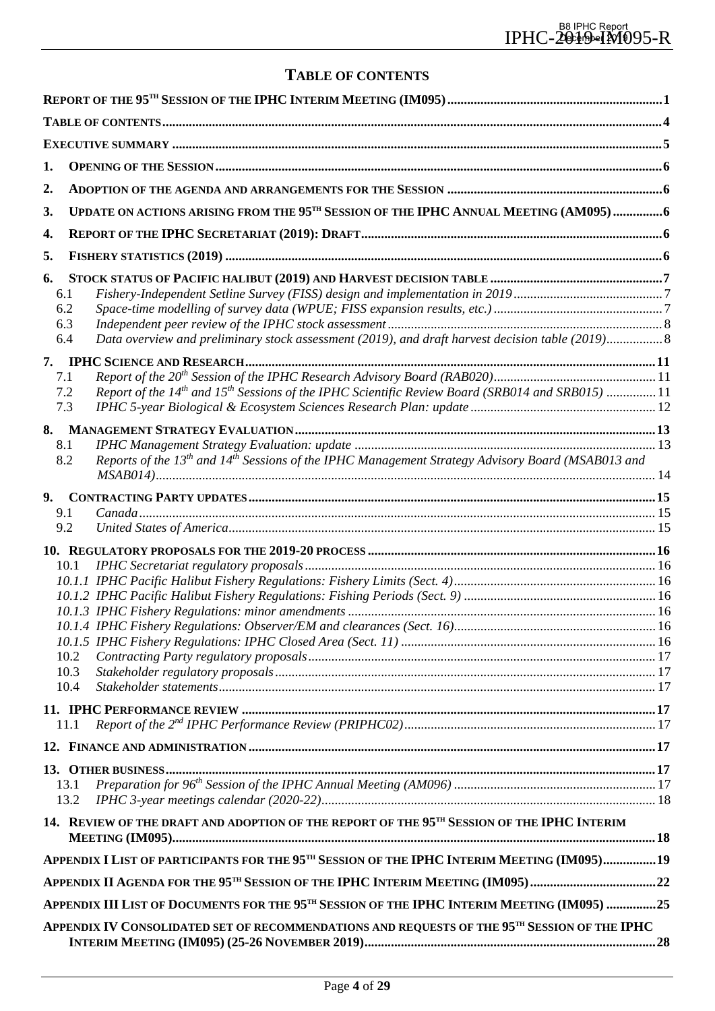## **TABLE OF CONTENTS**

<span id="page-3-0"></span>

| 1.        |                                                                                                                           |  |
|-----------|---------------------------------------------------------------------------------------------------------------------------|--|
| 2.        |                                                                                                                           |  |
| 3.        | UPDATE ON ACTIONS ARISING FROM THE 95 <sup>TH</sup> SESSION OF THE IPHC ANNUAL MEETING (AM095)6                           |  |
| 4.        |                                                                                                                           |  |
|           |                                                                                                                           |  |
| 5.        |                                                                                                                           |  |
| 6.<br>6.1 |                                                                                                                           |  |
| 6.2       |                                                                                                                           |  |
| 6.3       |                                                                                                                           |  |
| 6.4       | Data overview and preliminary stock assessment (2019), and draft harvest decision table (2019)8                           |  |
|           |                                                                                                                           |  |
| 7.1       |                                                                                                                           |  |
| 7.2       | Report of the 14 <sup>th</sup> and 15 <sup>th</sup> Sessions of the IPHC Scientific Review Board (SRB014 and SRB015) 11   |  |
| 7.3       |                                                                                                                           |  |
|           |                                                                                                                           |  |
| 8.1       |                                                                                                                           |  |
| 8.2       | Reports of the 13 <sup>th</sup> and 14 <sup>th</sup> Sessions of the IPHC Management Strategy Advisory Board (MSAB013 and |  |
| 9.        |                                                                                                                           |  |
| 9.1       |                                                                                                                           |  |
| 9.2       |                                                                                                                           |  |
|           |                                                                                                                           |  |
|           | 10.1                                                                                                                      |  |
|           |                                                                                                                           |  |
|           |                                                                                                                           |  |
|           |                                                                                                                           |  |
|           |                                                                                                                           |  |
|           |                                                                                                                           |  |
|           | 10.2<br>10.3                                                                                                              |  |
|           | 10.4                                                                                                                      |  |
|           |                                                                                                                           |  |
|           | 11.1                                                                                                                      |  |
|           |                                                                                                                           |  |
|           |                                                                                                                           |  |
|           |                                                                                                                           |  |
|           | 13.1<br>13.2                                                                                                              |  |
|           |                                                                                                                           |  |
|           | 14. REVIEW OF THE DRAFT AND ADOPTION OF THE REPORT OF THE 95 <sup>TH</sup> SESSION OF THE IPHC INTERIM                    |  |
|           | APPENDIX I LIST OF PARTICIPANTS FOR THE 95 <sup>TH</sup> SESSION OF THE IPHC INTERIM MEETING (IM095)19                    |  |
|           | APPENDIX II AGENDA FOR THE 95 <sup>TH</sup> SESSION OF THE IPHC INTERIM MEETING (IM095)22                                 |  |
|           | APPENDIX III LIST OF DOCUMENTS FOR THE 95 <sup>TH</sup> SESSION OF THE IPHC INTERIM MEETING (IM095) 25                    |  |
|           | APPENDIX IV CONSOLIDATED SET OF RECOMMENDATIONS AND REQUESTS OF THE 95 <sup>TH</sup> SESSION OF THE IPHC                  |  |
|           |                                                                                                                           |  |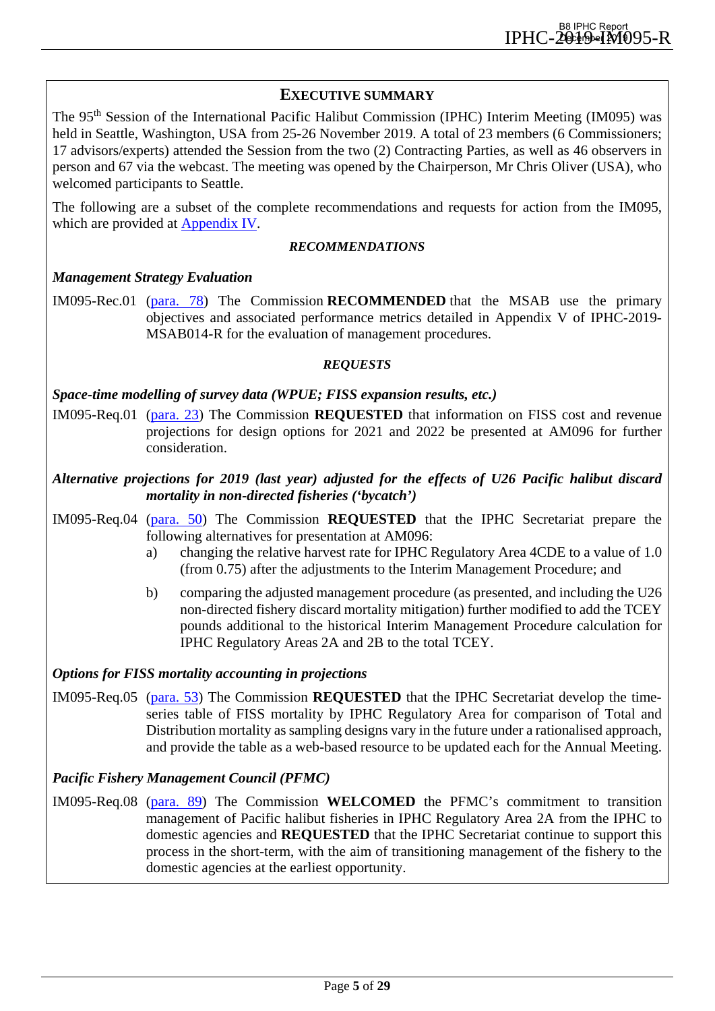## <span id="page-4-0"></span>**EXECUTIVE SUMMARY**

The 95<sup>th</sup> Session of the International Pacific Halibut Commission (IPHC) Interim Meeting (IM095) was held in Seattle, Washington, USA from 25-26 November 2019. A total of 23 members (6 Commissioners; 17 advisors/experts) attended the Session from the two (2) Contracting Parties, as well as 46 observers in person and 67 via the webcast. The meeting was opened by the Chairperson, Mr Chris Oliver (USA), who welcomed participants to Seattle.

The following are a subset of the complete recommendations and requests for action from the IM095, which are provided at [Appendix IV.](#page-27-0)

#### *RECOMMENDATIONS*

#### *Management Strategy Evaluation*

IM095-Rec.01 [\(para. 78\)](#page-14-3) The Commission **RECOMMENDED** that the MSAB use the primary objectives and associated performance metrics detailed in Appendix V of IPHC-2019- MSAB014-R for the evaluation of management procedures.

#### *REQUESTS*

#### *Space-time modelling of survey data (WPUE; FISS expansion results, etc.)*

IM095-Req.01 [\(para. 23\)](#page-7-2) The Commission **REQUESTED** that information on FISS cost and revenue projections for design options for 2021 and 2022 be presented at AM096 for further consideration.

## *Alternative projections for 2019 (last year) adjusted for the effects of U26 Pacific halibut discard mortality in non-directed fisheries ('bycatch')*

- IM095-Req.04 [\(para. 50\)](#page-9-0) The Commission **REQUESTED** that the IPHC Secretariat prepare the following alternatives for presentation at AM096:
	- a) changing the relative harvest rate for IPHC Regulatory Area 4CDE to a value of 1.0 (from 0.75) after the adjustments to the Interim Management Procedure; and
	- b) comparing the adjusted management procedure (as presented, and including the U26 non-directed fishery discard mortality mitigation) further modified to add the TCEY pounds additional to the historical Interim Management Procedure calculation for IPHC Regulatory Areas 2A and 2B to the total TCEY.

#### *Options for FISS mortality accounting in projections*

IM095-Req.05 [\(para. 53\)](#page-9-1) The Commission **REQUESTED** that the IPHC Secretariat develop the timeseries table of FISS mortality by IPHC Regulatory Area for comparison of Total and Distribution mortality as sampling designs vary in the future under a rationalised approach, and provide the table as a web-based resource to be updated each for the Annual Meeting.

#### *Pacific Fishery Management Council (PFMC)*

IM095-Req.08 [\(para. 89\)](#page-15-7) The Commission **WELCOMED** the PFMC's commitment to transition management of Pacific halibut fisheries in IPHC Regulatory Area 2A from the IPHC to domestic agencies and **REQUESTED** that the IPHC Secretariat continue to support this process in the short-term, with the aim of transitioning management of the fishery to the domestic agencies at the earliest opportunity.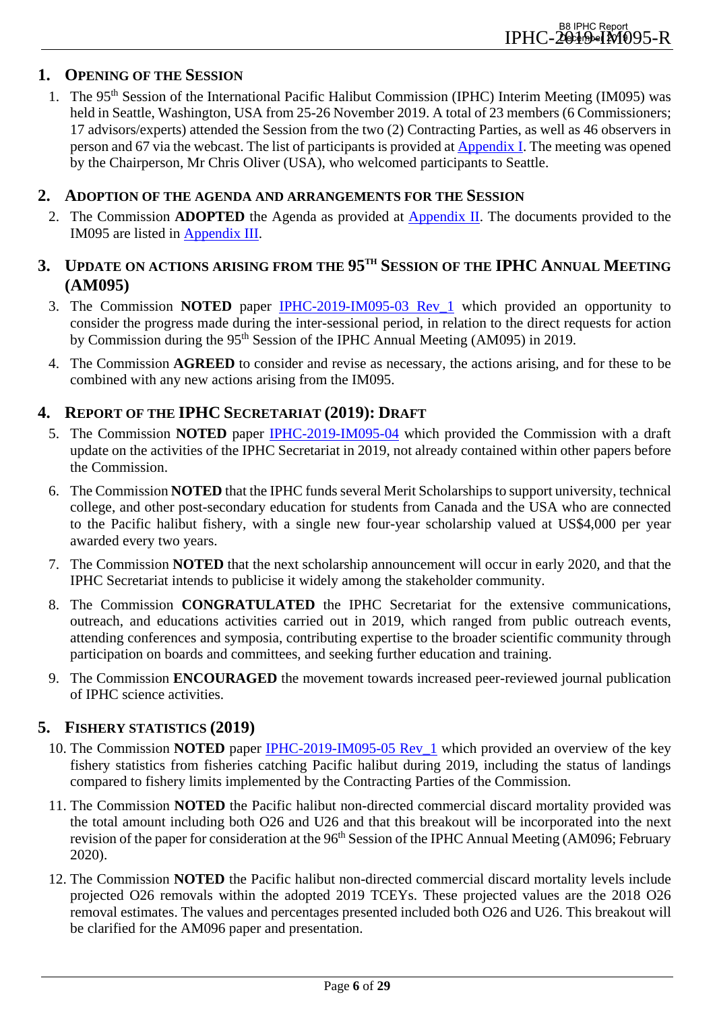## <span id="page-5-0"></span>**1. OPENING OF THE SESSION**

1. The 95<sup>th</sup> Session of the International Pacific Halibut Commission (IPHC) Interim Meeting (IM095) was held in Seattle, Washington, USA from 25-26 November 2019. A total of 23 members (6 Commissioners; 17 advisors/experts) attended the Session from the two (2) Contracting Parties, as well as 46 observers in person and 67 via the webcast. The list of participants is provided at [Appendix I.](#page-18-0) The meeting was opened by the Chairperson, Mr Chris Oliver (USA), who welcomed participants to Seattle.

#### <span id="page-5-1"></span>**2. ADOPTION OF THE AGENDA AND ARRANGEMENTS FOR THE SESSION**

2. The Commission **ADOPTED** the Agenda as provided at [Appendix II.](#page-21-0) The documents provided to the IM095 are listed in [Appendix III.](#page-24-0)

## <span id="page-5-2"></span>**3. UPDATE ON ACTIONS ARISING FROM THE 95TH SESSION OF THE IPHC ANNUAL MEETING (AM095)**

- 3. The Commission **NOTED** paper [IPHC-2019-IM095-03 Rev\\_1](https://www.iphc.int/uploads/pdf/im/im095/iphc-2019-im095-03.pdf) which provided an opportunity to consider the progress made during the inter-sessional period, in relation to the direct requests for action by Commission during the 95th Session of the IPHC Annual Meeting (AM095) in 2019.
- 4. The Commission **AGREED** to consider and revise as necessary, the actions arising, and for these to be combined with any new actions arising from the IM095.

## <span id="page-5-3"></span>**4. REPORT OF THE IPHC SECRETARIAT (2019): DRAFT**

- 5. The Commission **NOTED** paper [IPHC-2019-IM095-04](https://www.iphc.int/uploads/pdf/im/im095/iphc-2019-im095-04.pdf) which provided the Commission with a draft update on the activities of the IPHC Secretariat in 2019, not already contained within other papers before the Commission.
- 6. The Commission **NOTED** that the IPHC funds several Merit Scholarships to support university, technical college, and other post-secondary education for students from Canada and the USA who are connected to the Pacific halibut fishery, with a single new four-year scholarship valued at US\$4,000 per year awarded every two years.
- 7. The Commission **NOTED** that the next scholarship announcement will occur in early 2020, and that the IPHC Secretariat intends to publicise it widely among the stakeholder community.
- 8. The Commission **CONGRATULATED** the IPHC Secretariat for the extensive communications, outreach, and educations activities carried out in 2019, which ranged from public outreach events, attending conferences and symposia, contributing expertise to the broader scientific community through participation on boards and committees, and seeking further education and training.
- 9. The Commission **ENCOURAGED** the movement towards increased peer-reviewed journal publication of IPHC science activities.

## <span id="page-5-4"></span>**5. FISHERY STATISTICS (2019)**

- 10. The Commission **NOTED** paper [IPHC-2019-IM095-05 Rev\\_1](https://www.iphc.int/uploads/pdf/im/im095/iphc-2019-im095-05.pdf) which provided an overview of the key fishery statistics from fisheries catching Pacific halibut during 2019, including the status of landings compared to fishery limits implemented by the Contracting Parties of the Commission.
- 11. The Commission **NOTED** the Pacific halibut non-directed commercial discard mortality provided was the total amount including both O26 and U26 and that this breakout will be incorporated into the next revision of the paper for consideration at the 96<sup>th</sup> Session of the IPHC Annual Meeting (AM096; February 2020).
- 12. The Commission **NOTED** the Pacific halibut non-directed commercial discard mortality levels include projected O26 removals within the adopted 2019 TCEYs. These projected values are the 2018 O26 removal estimates. The values and percentages presented included both O26 and U26. This breakout will be clarified for the AM096 paper and presentation.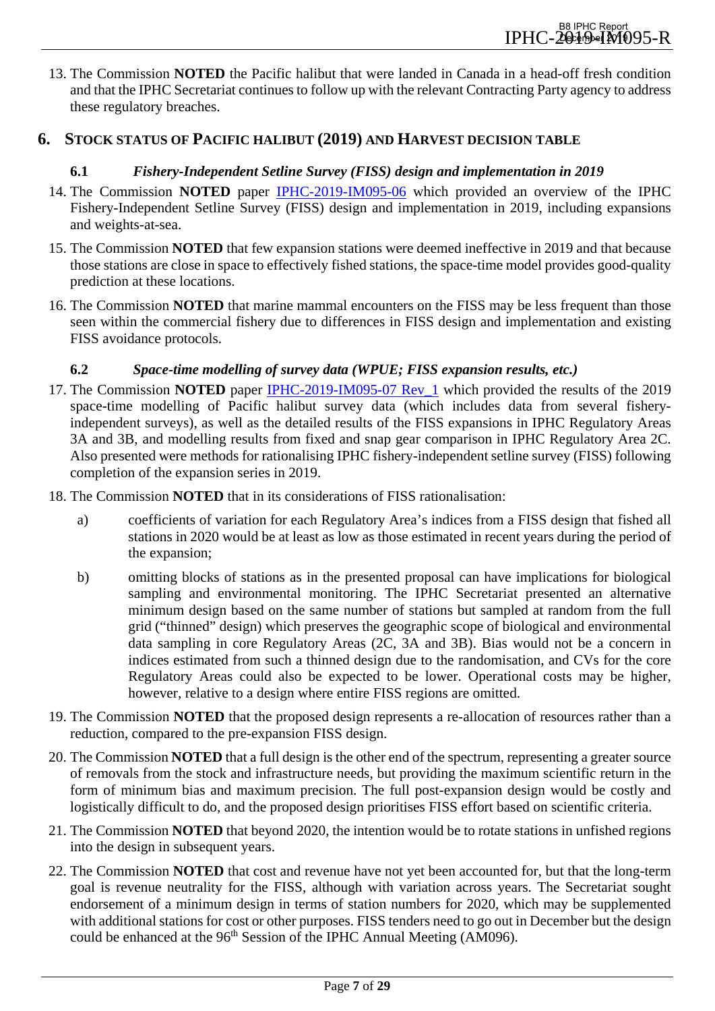13. The Commission **NOTED** the Pacific halibut that were landed in Canada in a head-off fresh condition and that the IPHC Secretariat continues to follow up with the relevant Contracting Party agency to address these regulatory breaches.

## <span id="page-6-1"></span><span id="page-6-0"></span>**6. STOCK STATUS OF PACIFIC HALIBUT (2019) AND HARVEST DECISION TABLE**

## **6.1** *Fishery-Independent Setline Survey (FISS) design and implementation in 2019*

- 14. The Commission **NOTED** paper [IPHC-2019-IM095-06](https://www.iphc.int/uploads/pdf/im/im095/iphc-2019-im095-06.pdf) which provided an overview of the IPHC Fishery-Independent Setline Survey (FISS) design and implementation in 2019, including expansions and weights-at-sea.
- 15. The Commission **NOTED** that few expansion stations were deemed ineffective in 2019 and that because those stations are close in space to effectively fished stations, the space-time model provides good-quality prediction at these locations.
- 16. The Commission **NOTED** that marine mammal encounters on the FISS may be less frequent than those seen within the commercial fishery due to differences in FISS design and implementation and existing FISS avoidance protocols.

## **6.2** *Space-time modelling of survey data (WPUE; FISS expansion results, etc.)*

- <span id="page-6-2"></span>17. The Commission **NOTED** paper [IPHC-2019-IM095-07 Rev\\_1](https://www.iphc.int/uploads/pdf/im/im095/iphc-2019-im095-07.pdf) which provided the results of the 2019 space-time modelling of Pacific halibut survey data (which includes data from several fisheryindependent surveys), as well as the detailed results of the FISS expansions in IPHC Regulatory Areas 3A and 3B, and modelling results from fixed and snap gear comparison in IPHC Regulatory Area 2C. Also presented were methods for rationalising IPHC fishery-independent setline survey (FISS) following completion of the expansion series in 2019.
- 18. The Commission **NOTED** that in its considerations of FISS rationalisation:
	- a) coefficients of variation for each Regulatory Area's indices from a FISS design that fished all stations in 2020 would be at least as low as those estimated in recent years during the period of the expansion;
	- b) omitting blocks of stations as in the presented proposal can have implications for biological sampling and environmental monitoring. The IPHC Secretariat presented an alternative minimum design based on the same number of stations but sampled at random from the full grid ("thinned" design) which preserves the geographic scope of biological and environmental data sampling in core Regulatory Areas (2C, 3A and 3B). Bias would not be a concern in indices estimated from such a thinned design due to the randomisation, and CVs for the core Regulatory Areas could also be expected to be lower. Operational costs may be higher, however, relative to a design where entire FISS regions are omitted.
- 19. The Commission **NOTED** that the proposed design represents a re-allocation of resources rather than a reduction, compared to the pre-expansion FISS design.
- 20. The Commission **NOTED** that a full design is the other end of the spectrum, representing a greater source of removals from the stock and infrastructure needs, but providing the maximum scientific return in the form of minimum bias and maximum precision. The full post-expansion design would be costly and logistically difficult to do, and the proposed design prioritises FISS effort based on scientific criteria.
- 21. The Commission **NOTED** that beyond 2020, the intention would be to rotate stations in unfished regions into the design in subsequent years.
- 22. The Commission **NOTED** that cost and revenue have not yet been accounted for, but that the long-term goal is revenue neutrality for the FISS, although with variation across years. The Secretariat sought endorsement of a minimum design in terms of station numbers for 2020, which may be supplemented with additional stations for cost or other purposes. FISS tenders need to go out in December but the design could be enhanced at the 96<sup>th</sup> Session of the IPHC Annual Meeting (AM096).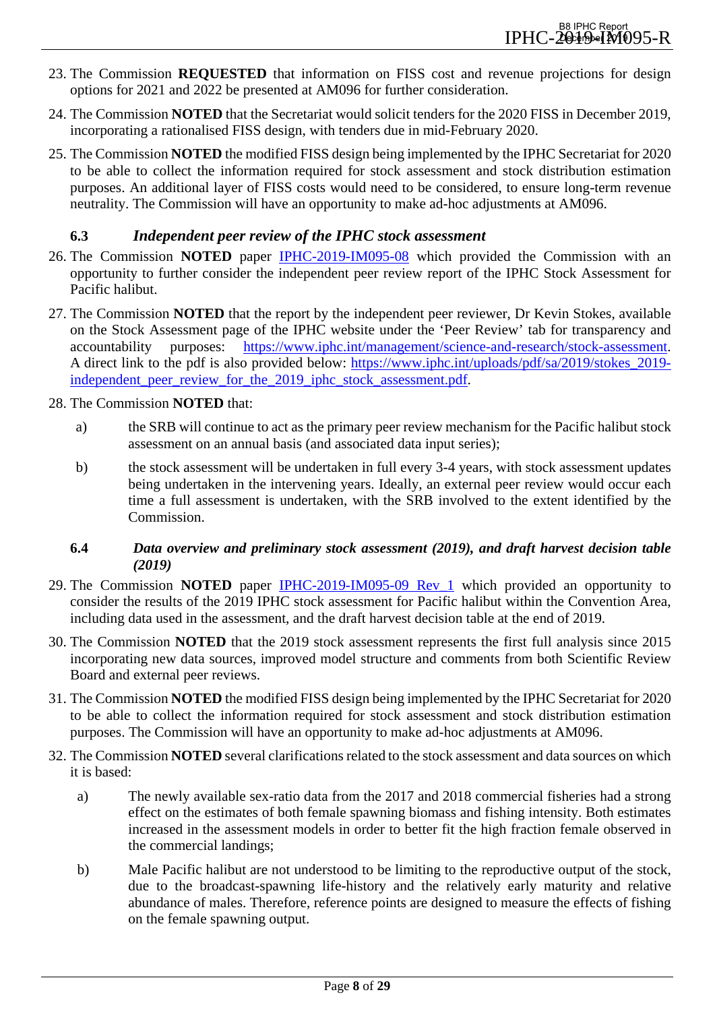- <span id="page-7-2"></span>23. The Commission **REQUESTED** that information on FISS cost and revenue projections for design options for 2021 and 2022 be presented at AM096 for further consideration.
- 24. The Commission **NOTED** that the Secretariat would solicit tenders for the 2020 FISS in December 2019, incorporating a rationalised FISS design, with tenders due in mid-February 2020.
- 25. The Commission **NOTED** the modified FISS design being implemented by the IPHC Secretariat for 2020 to be able to collect the information required for stock assessment and stock distribution estimation purposes. An additional layer of FISS costs would need to be considered, to ensure long-term revenue neutrality. The Commission will have an opportunity to make ad-hoc adjustments at AM096.

## <span id="page-7-0"></span>**6.3** *Independent peer review of the IPHC stock assessment*

- 26. The Commission **NOTED** paper [IPHC-2019-IM095-08](https://www.iphc.int/uploads/pdf/im/im095/iphc-2019-im095-08.pdf) which provided the Commission with an opportunity to further consider the independent peer review report of the IPHC Stock Assessment for Pacific halibut.
- 27. The Commission **NOTED** that the report by the independent peer reviewer, Dr Kevin Stokes, available on the Stock Assessment page of the IPHC website under the 'Peer Review' tab for transparency and accountability purposes: [https://www.iphc.int/management/science-and-research/stock-assessment.](https://www.iphc.int/management/science-and-research/stock-assessment) A direct link to the pdf is also provided below: [https://www.iphc.int/uploads/pdf/sa/2019/stokes\\_2019](https://www.iphc.int/uploads/pdf/sa/2019/stokes_2019-independent_peer_review_for_the_2019_iphc_stock_assessment.pdf) independent peer review for the 2019 iphc stock assessment.pdf.
- 28. The Commission **NOTED** that:
	- a) the SRB will continue to act as the primary peer review mechanism for the Pacific halibut stock assessment on an annual basis (and associated data input series);
	- b) the stock assessment will be undertaken in full every 3-4 years, with stock assessment updates being undertaken in the intervening years. Ideally, an external peer review would occur each time a full assessment is undertaken, with the SRB involved to the extent identified by the Commission.

#### <span id="page-7-1"></span>**6.4** *Data overview and preliminary stock assessment (2019), and draft harvest decision table (2019)*

- 29. The Commission **NOTED** paper [IPHC-2019-IM095-09 Rev\\_1](https://www.iphc.int/uploads/pdf/im/im095/iphc-2019-im095-09.pdf) which provided an opportunity to consider the results of the 2019 IPHC stock assessment for Pacific halibut within the Convention Area, including data used in the assessment, and the draft harvest decision table at the end of 2019.
- 30. The Commission **NOTED** that the 2019 stock assessment represents the first full analysis since 2015 incorporating new data sources, improved model structure and comments from both Scientific Review Board and external peer reviews.
- 31. The Commission **NOTED** the modified FISS design being implemented by the IPHC Secretariat for 2020 to be able to collect the information required for stock assessment and stock distribution estimation purposes. The Commission will have an opportunity to make ad-hoc adjustments at AM096.
- 32. The Commission **NOTED** several clarifications related to the stock assessment and data sources on which it is based:
	- a) The newly available sex-ratio data from the 2017 and 2018 commercial fisheries had a strong effect on the estimates of both female spawning biomass and fishing intensity. Both estimates increased in the assessment models in order to better fit the high fraction female observed in the commercial landings;
	- b) Male Pacific halibut are not understood to be limiting to the reproductive output of the stock, due to the broadcast-spawning life-history and the relatively early maturity and relative abundance of males. Therefore, reference points are designed to measure the effects of fishing on the female spawning output.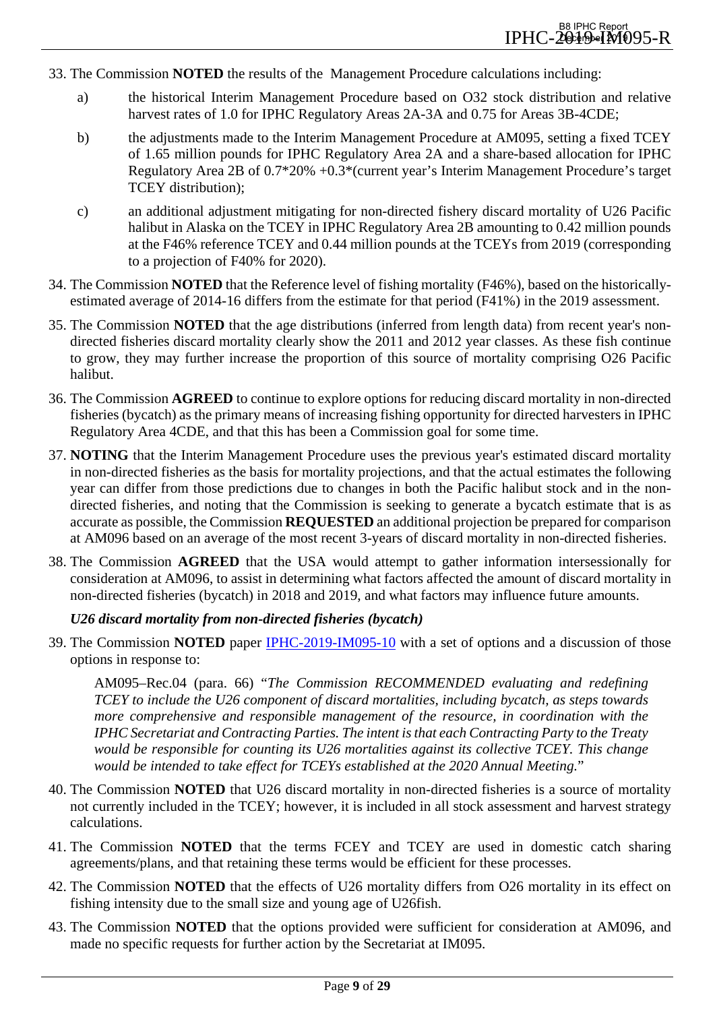- 33. The Commission **NOTED** the results of the Management Procedure calculations including:
	- a) the historical Interim Management Procedure based on O32 stock distribution and relative harvest rates of 1.0 for IPHC Regulatory Areas 2A-3A and 0.75 for Areas 3B-4CDE;
	- b) the adjustments made to the Interim Management Procedure at AM095, setting a fixed TCEY of 1.65 million pounds for IPHC Regulatory Area 2A and a share-based allocation for IPHC Regulatory Area 2B of 0.7\*20% +0.3\*(current year's Interim Management Procedure's target TCEY distribution);
	- c) an additional adjustment mitigating for non-directed fishery discard mortality of U26 Pacific halibut in Alaska on the TCEY in IPHC Regulatory Area 2B amounting to 0.42 million pounds at the F46% reference TCEY and 0.44 million pounds at the TCEYs from 2019 (corresponding to a projection of F40% for 2020).
- 34. The Commission **NOTED** that the Reference level of fishing mortality (F46%), based on the historicallyestimated average of 2014-16 differs from the estimate for that period (F41%) in the 2019 assessment.
- 35. The Commission **NOTED** that the age distributions (inferred from length data) from recent year's nondirected fisheries discard mortality clearly show the 2011 and 2012 year classes. As these fish continue to grow, they may further increase the proportion of this source of mortality comprising O26 Pacific halibut.
- 36. The Commission **AGREED** to continue to explore options for reducing discard mortality in non-directed fisheries (bycatch) as the primary means of increasing fishing opportunity for directed harvesters in IPHC Regulatory Area 4CDE, and that this has been a Commission goal for some time.
- <span id="page-8-0"></span>37. **NOTING** that the Interim Management Procedure uses the previous year's estimated discard mortality in non-directed fisheries as the basis for mortality projections, and that the actual estimates the following year can differ from those predictions due to changes in both the Pacific halibut stock and in the nondirected fisheries, and noting that the Commission is seeking to generate a bycatch estimate that is as accurate as possible, the Commission **REQUESTED** an additional projection be prepared for comparison at AM096 based on an average of the most recent 3-years of discard mortality in non-directed fisheries.
- 38. The Commission **AGREED** that the USA would attempt to gather information intersessionally for consideration at AM096, to assist in determining what factors affected the amount of discard mortality in non-directed fisheries (bycatch) in 2018 and 2019, and what factors may influence future amounts.

## *U26 discard mortality from non-directed fisheries (bycatch)*

39. The Commission **NOTED** paper [IPHC-2019-IM095-10](https://www.iphc.int/uploads/pdf/im/im095/iphc-2019-im095-10.pdf) with a set of options and a discussion of those options in response to:

AM095–Rec.04 (para. 66) "*The Commission RECOMMENDED evaluating and redefining TCEY to include the U26 component of discard mortalities, including bycatch, as steps towards more comprehensive and responsible management of the resource, in coordination with the IPHC Secretariat and Contracting Parties. The intent is that each Contracting Party to the Treaty would be responsible for counting its U26 mortalities against its collective TCEY. This change would be intended to take effect for TCEYs established at the 2020 Annual Meeting.*"

- 40. The Commission **NOTED** that U26 discard mortality in non-directed fisheries is a source of mortality not currently included in the TCEY; however, it is included in all stock assessment and harvest strategy calculations.
- 41. The Commission **NOTED** that the terms FCEY and TCEY are used in domestic catch sharing agreements/plans, and that retaining these terms would be efficient for these processes.
- 42. The Commission **NOTED** that the effects of U26 mortality differs from O26 mortality in its effect on fishing intensity due to the small size and young age of U26fish.
- 43. The Commission **NOTED** that the options provided were sufficient for consideration at AM096, and made no specific requests for further action by the Secretariat at IM095.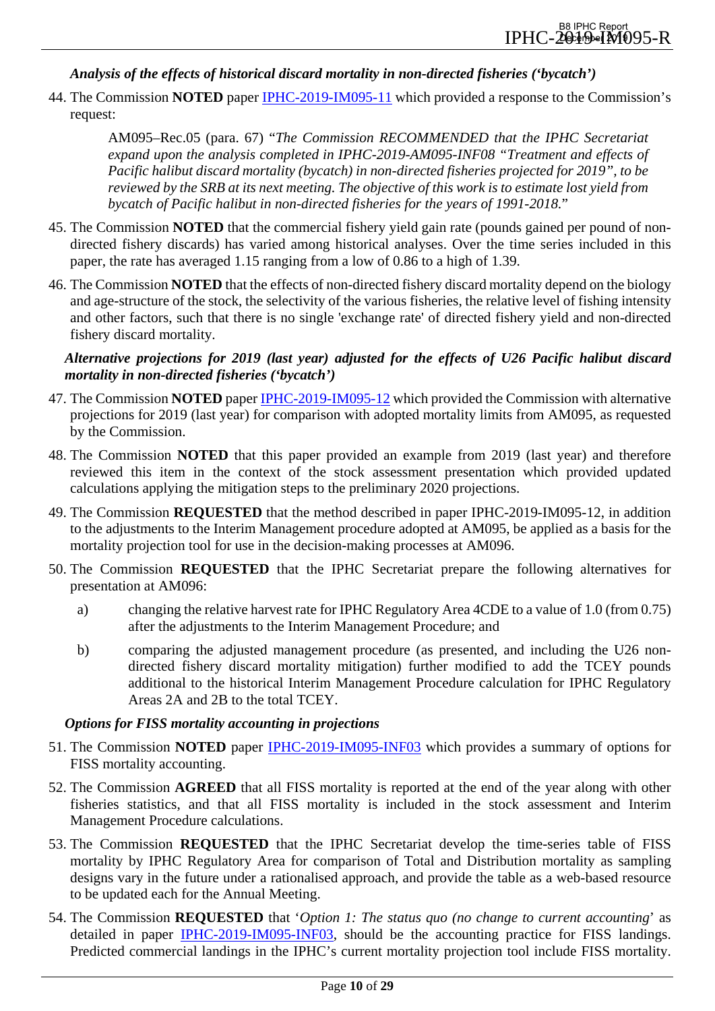#### *Analysis of the effects of historical discard mortality in non-directed fisheries ('bycatch')*

44. The Commission **NOTED** paper [IPHC-2019-IM095-11](https://www.iphc.int/uploads/pdf/im/im095/iphc-2019-im095-11.pdf) which provided a response to the Commission's request:

AM095–Rec.05 (para. 67) "*The Commission RECOMMENDED that the IPHC Secretariat expand upon the analysis completed in IPHC-2019-AM095-INF08 "Treatment and effects of Pacific halibut discard mortality (bycatch) in non-directed fisheries projected for 2019", to be reviewed by the SRB at its next meeting. The objective of this work is to estimate lost yield from bycatch of Pacific halibut in non-directed fisheries for the years of 1991-2018.*"

- 45. The Commission **NOTED** that the commercial fishery yield gain rate (pounds gained per pound of nondirected fishery discards) has varied among historical analyses. Over the time series included in this paper, the rate has averaged 1.15 ranging from a low of 0.86 to a high of 1.39.
- 46. The Commission **NOTED** that the effects of non-directed fishery discard mortality depend on the biology and age-structure of the stock, the selectivity of the various fisheries, the relative level of fishing intensity and other factors, such that there is no single 'exchange rate' of directed fishery yield and non-directed fishery discard mortality.

*Alternative projections for 2019 (last year) adjusted for the effects of U26 Pacific halibut discard mortality in non-directed fisheries ('bycatch')*

- 47. The Commission **NOTED** paper [IPHC-2019-IM095-12](https://www.iphc.int/uploads/pdf/im/im095/iphc-2019-im095-12.pdf) which provided the Commission with alternative projections for 2019 (last year) for comparison with adopted mortality limits from AM095, as requested by the Commission.
- 48. The Commission **NOTED** that this paper provided an example from 2019 (last year) and therefore reviewed this item in the context of the stock assessment presentation which provided updated calculations applying the mitigation steps to the preliminary 2020 projections.
- <span id="page-9-2"></span>49. The Commission **REQUESTED** that the method described in paper IPHC-2019-IM095-12, in addition to the adjustments to the Interim Management procedure adopted at AM095, be applied as a basis for the mortality projection tool for use in the decision-making processes at AM096.
- <span id="page-9-0"></span>50. The Commission **REQUESTED** that the IPHC Secretariat prepare the following alternatives for presentation at AM096:
	- a) changing the relative harvest rate for IPHC Regulatory Area 4CDE to a value of 1.0 (from 0.75) after the adjustments to the Interim Management Procedure; and
	- b) comparing the adjusted management procedure (as presented, and including the U26 nondirected fishery discard mortality mitigation) further modified to add the TCEY pounds additional to the historical Interim Management Procedure calculation for IPHC Regulatory Areas 2A and 2B to the total TCEY.

#### *Options for FISS mortality accounting in projections*

- 51. The Commission **NOTED** paper [IPHC-2019-IM095-INF03](https://www.iphc.int/uploads/pdf/im/im095/iphc-2019-im095-inf03.pdf) which provides a summary of options for FISS mortality accounting.
- 52. The Commission **AGREED** that all FISS mortality is reported at the end of the year along with other fisheries statistics, and that all FISS mortality is included in the stock assessment and Interim Management Procedure calculations.
- <span id="page-9-1"></span>53. The Commission **REQUESTED** that the IPHC Secretariat develop the time-series table of FISS mortality by IPHC Regulatory Area for comparison of Total and Distribution mortality as sampling designs vary in the future under a rationalised approach, and provide the table as a web-based resource to be updated each for the Annual Meeting.
- <span id="page-9-3"></span>54. The Commission **REQUESTED** that '*Option 1: The status quo (no change to current accounting*' as detailed in paper [IPHC-2019-IM095-INF03,](https://www.iphc.int/uploads/pdf/im/im095/iphc-2019-im095-inf03.pdf) should be the accounting practice for FISS landings. Predicted commercial landings in the IPHC's current mortality projection tool include FISS mortality.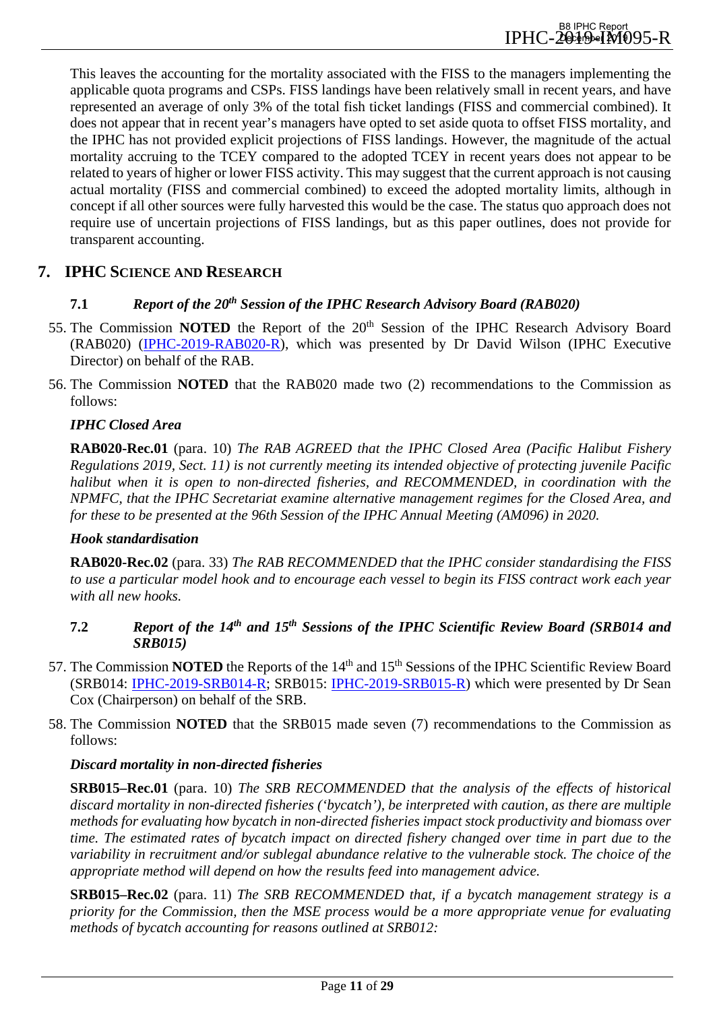This leaves the accounting for the mortality associated with the FISS to the managers implementing the applicable quota programs and CSPs. FISS landings have been relatively small in recent years, and have represented an average of only 3% of the total fish ticket landings (FISS and commercial combined). It does not appear that in recent year's managers have opted to set aside quota to offset FISS mortality, and the IPHC has not provided explicit projections of FISS landings. However, the magnitude of the actual mortality accruing to the TCEY compared to the adopted TCEY in recent years does not appear to be related to years of higher or lower FISS activity. This may suggest that the current approach is not causing actual mortality (FISS and commercial combined) to exceed the adopted mortality limits, although in concept if all other sources were fully harvested this would be the case. The status quo approach does not require use of uncertain projections of FISS landings, but as this paper outlines, does not provide for transparent accounting.

## <span id="page-10-1"></span><span id="page-10-0"></span>**7. IPHC SCIENCE AND RESEARCH**

#### **7.1** *Report of the 20th Session of the IPHC Research Advisory Board (RAB020)*

- 55. The Commission **NOTED** the Report of the 20<sup>th</sup> Session of the IPHC Research Advisory Board (RAB020) [\(IPHC-2019-RAB020-R\)](https://www.iphc.int/uploads/pdf/rab/2019/iphc-2019-rab020-r.pdf), which was presented by Dr David Wilson (IPHC Executive Director) on behalf of the RAB.
- 56. The Commission **NOTED** that the RAB020 made two (2) recommendations to the Commission as follows:

#### *IPHC Closed Area*

**RAB020-Rec.01** (para. 10) *The RAB AGREED that the IPHC Closed Area (Pacific Halibut Fishery Regulations 2019, Sect. 11) is not currently meeting its intended objective of protecting juvenile Pacific halibut when it is open to non-directed fisheries, and RECOMMENDED, in coordination with the NPMFC, that the IPHC Secretariat examine alternative management regimes for the Closed Area, and for these to be presented at the 96th Session of the IPHC Annual Meeting (AM096) in 2020.*

#### *Hook standardisation*

**RAB020-Rec.02** (para. 33) *The RAB RECOMMENDED that the IPHC consider standardising the FISS to use a particular model hook and to encourage each vessel to begin its FISS contract work each year with all new hooks.*

## <span id="page-10-2"></span>**7.2** *Report of the 14th and 15th Sessions of the IPHC Scientific Review Board (SRB014 and SRB015)*

- 57. The Commission **NOTED** the Reports of the 14<sup>th</sup> and 15<sup>th</sup> Sessions of the IPHC Scientific Review Board (SRB014: [IPHC-2019-SRB014-R;](https://www.iphc.int/uploads/pdf/srb/srb014/iphc-2019-srb014-r.pdf) SRB015: [IPHC-2019-SRB015-R\)](https://www.iphc.int/uploads/pdf/srb/srb015/iphc-2019-srb015-r.pdf) which were presented by Dr Sean Cox (Chairperson) on behalf of the SRB.
- 58. The Commission **NOTED** that the SRB015 made seven (7) recommendations to the Commission as follows:

## *Discard mortality in non-directed fisheries*

**SRB015–Rec.01** (para. 10) *The SRB RECOMMENDED that the analysis of the effects of historical discard mortality in non-directed fisheries ('bycatch'), be interpreted with caution, as there are multiple methods for evaluating how bycatch in non-directed fisheries impact stock productivity and biomass over time. The estimated rates of bycatch impact on directed fishery changed over time in part due to the variability in recruitment and/or sublegal abundance relative to the vulnerable stock. The choice of the appropriate method will depend on how the results feed into management advice.* 

**SRB015–Rec.02** (para. 11) *The SRB RECOMMENDED that, if a bycatch management strategy is a priority for the Commission, then the MSE process would be a more appropriate venue for evaluating methods of bycatch accounting for reasons outlined at SRB012:*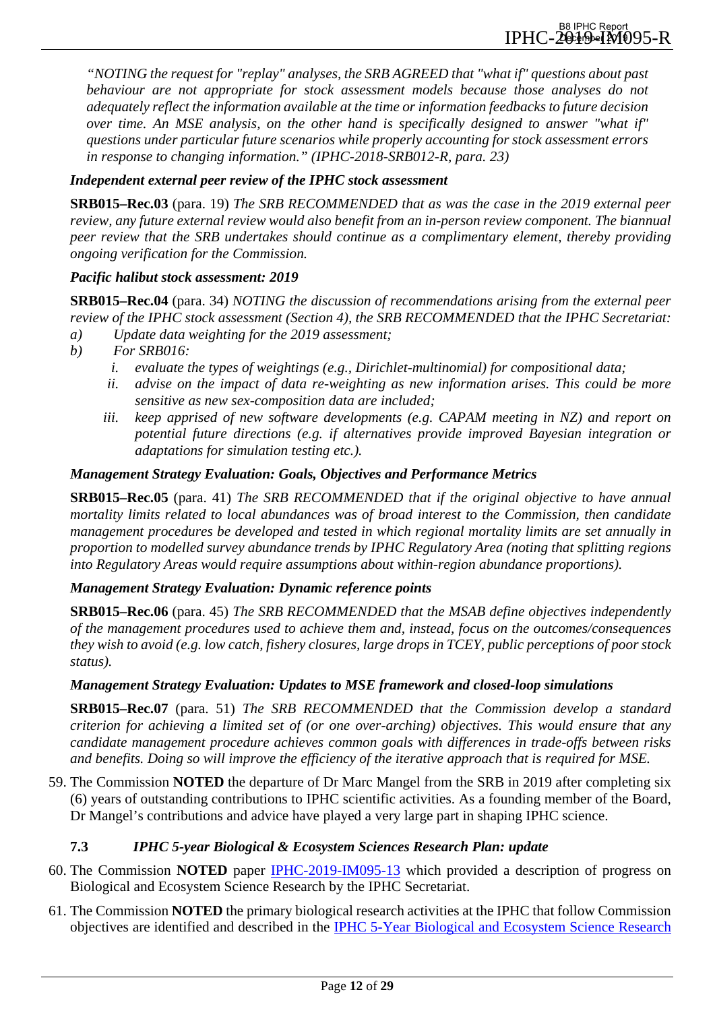*"NOTING the request for "replay" analyses, the SRB AGREED that "what if" questions about past behaviour are not appropriate for stock assessment models because those analyses do not adequately reflect the information available at the time or information feedbacks to future decision over time. An MSE analysis, on the other hand is specifically designed to answer "what if" questions under particular future scenarios while properly accounting for stock assessment errors in response to changing information." (IPHC-2018-SRB012-R, para. 23)* 

## *Independent external peer review of the IPHC stock assessment*

**SRB015–Rec.03** (para. 19) *The SRB RECOMMENDED that as was the case in the 2019 external peer review, any future external review would also benefit from an in-person review component. The biannual peer review that the SRB undertakes should continue as a complimentary element, thereby providing ongoing verification for the Commission.*

#### *Pacific halibut stock assessment: 2019*

**SRB015–Rec.04** (para. 34) *NOTING the discussion of recommendations arising from the external peer review of the IPHC stock assessment (Section 4), the SRB RECOMMENDED that the IPHC Secretariat:*

- *a) Update data weighting for the 2019 assessment;*
- *b) For SRB016:* 
	- *i. evaluate the types of weightings (e.g., Dirichlet-multinomial) for compositional data;*
	- *ii. advise on the impact of data re-weighting as new information arises. This could be more sensitive as new sex-composition data are included;*
	- *iii. keep apprised of new software developments (e.g. CAPAM meeting in NZ) and report on potential future directions (e.g. if alternatives provide improved Bayesian integration or adaptations for simulation testing etc.).*

#### *Management Strategy Evaluation: Goals, Objectives and Performance Metrics*

**SRB015–Rec.05** (para. 41) *The SRB RECOMMENDED that if the original objective to have annual mortality limits related to local abundances was of broad interest to the Commission, then candidate management procedures be developed and tested in which regional mortality limits are set annually in proportion to modelled survey abundance trends by IPHC Regulatory Area (noting that splitting regions into Regulatory Areas would require assumptions about within-region abundance proportions).* 

#### *Management Strategy Evaluation: Dynamic reference points*

**SRB015–Rec.06** (para. 45) *The SRB RECOMMENDED that the MSAB define objectives independently of the management procedures used to achieve them and, instead, focus on the outcomes/consequences they wish to avoid (e.g. low catch, fishery closures, large drops in TCEY, public perceptions of poor stock status).* 

#### *Management Strategy Evaluation: Updates to MSE framework and closed-loop simulations*

**SRB015–Rec.07** (para. 51) *The SRB RECOMMENDED that the Commission develop a standard criterion for achieving a limited set of (or one over-arching) objectives. This would ensure that any candidate management procedure achieves common goals with differences in trade-offs between risks and benefits. Doing so will improve the efficiency of the iterative approach that is required for MSE.* 

59. The Commission **NOTED** the departure of Dr Marc Mangel from the SRB in 2019 after completing six (6) years of outstanding contributions to IPHC scientific activities. As a founding member of the Board, Dr Mangel's contributions and advice have played a very large part in shaping IPHC science.

## <span id="page-11-0"></span>**7.3** *IPHC 5-year Biological & Ecosystem Sciences Research Plan: update*

- 60. The Commission **NOTED** paper [IPHC-2019-IM095-13](https://www.iphc.int/uploads/pdf/im/im095/iphc-2019-im095-13.pdf) which provided a description of progress on Biological and Ecosystem Science Research by the IPHC Secretariat.
- 61. The Commission **NOTED** the primary biological research activities at the IPHC that follow Commission objectives are identified and described in the [IPHC 5-Year Biological and Ecosystem Science Research](https://www.iphc.int/uploads/pdf/besrp/2019/iphc-2019-besrp-5yp.pdf)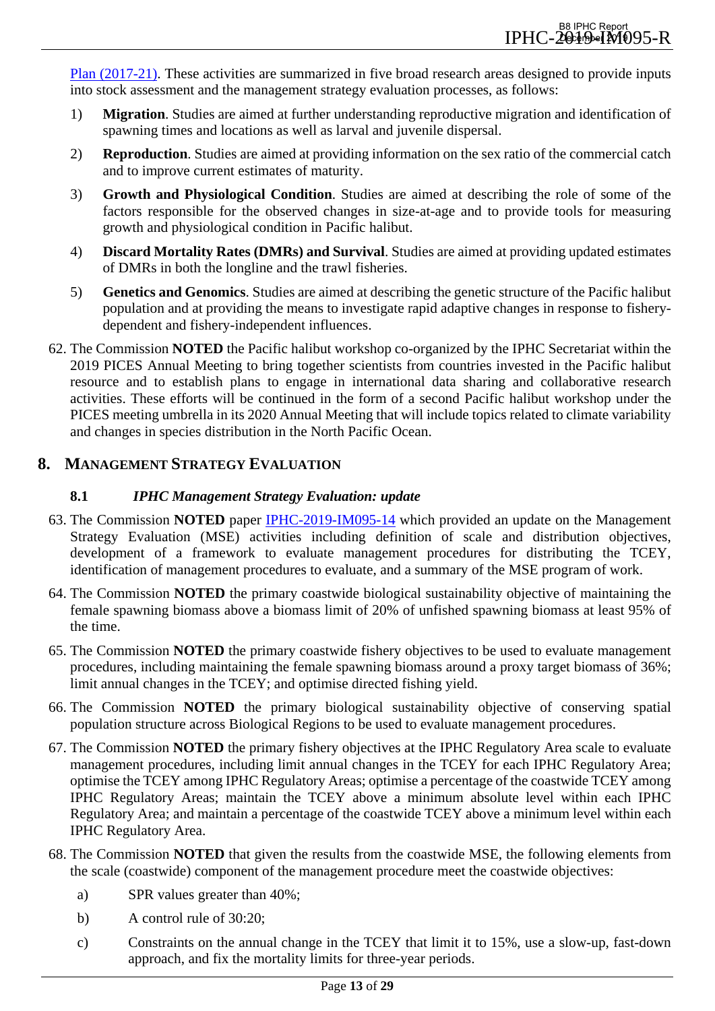[Plan \(2017-21\).](https://www.iphc.int/uploads/pdf/besrp/2019/iphc-2019-besrp-5yp.pdf) These activities are summarized in five broad research areas designed to provide inputs into stock assessment and the management strategy evaluation processes, as follows:

- 1) **Migration**. Studies are aimed at further understanding reproductive migration and identification of spawning times and locations as well as larval and juvenile dispersal.
- 2) **Reproduction**. Studies are aimed at providing information on the sex ratio of the commercial catch and to improve current estimates of maturity.
- 3) **Growth and Physiological Condition**. Studies are aimed at describing the role of some of the factors responsible for the observed changes in size-at-age and to provide tools for measuring growth and physiological condition in Pacific halibut.
- 4) **Discard Mortality Rates (DMRs) and Survival**. Studies are aimed at providing updated estimates of DMRs in both the longline and the trawl fisheries.
- 5) **Genetics and Genomics**. Studies are aimed at describing the genetic structure of the Pacific halibut population and at providing the means to investigate rapid adaptive changes in response to fisherydependent and fishery-independent influences.
- 62. The Commission **NOTED** the Pacific halibut workshop co-organized by the IPHC Secretariat within the 2019 PICES Annual Meeting to bring together scientists from countries invested in the Pacific halibut resource and to establish plans to engage in international data sharing and collaborative research activities. These efforts will be continued in the form of a second Pacific halibut workshop under the PICES meeting umbrella in its 2020 Annual Meeting that will include topics related to climate variability and changes in species distribution in the North Pacific Ocean.

## <span id="page-12-1"></span><span id="page-12-0"></span>**8. MANAGEMENT STRATEGY EVALUATION**

## **8.1** *IPHC Management Strategy Evaluation: update*

- 63. The Commission **NOTED** paper [IPHC-2019-IM095-14](https://www.iphc.int/uploads/pdf/im/im095/iphc-2019-im095-14.pdf) which provided an update on the Management Strategy Evaluation (MSE) activities including definition of scale and distribution objectives, development of a framework to evaluate management procedures for distributing the TCEY, identification of management procedures to evaluate, and a summary of the MSE program of work.
- 64. The Commission **NOTED** the primary coastwide biological sustainability objective of maintaining the female spawning biomass above a biomass limit of 20% of unfished spawning biomass at least 95% of the time.
- 65. The Commission **NOTED** the primary coastwide fishery objectives to be used to evaluate management procedures, including maintaining the female spawning biomass around a proxy target biomass of 36%; limit annual changes in the TCEY; and optimise directed fishing yield.
- 66. The Commission **NOTED** the primary biological sustainability objective of conserving spatial population structure across Biological Regions to be used to evaluate management procedures.
- 67. The Commission **NOTED** the primary fishery objectives at the IPHC Regulatory Area scale to evaluate management procedures, including limit annual changes in the TCEY for each IPHC Regulatory Area; optimise the TCEY among IPHC Regulatory Areas; optimise a percentage of the coastwide TCEY among IPHC Regulatory Areas; maintain the TCEY above a minimum absolute level within each IPHC Regulatory Area; and maintain a percentage of the coastwide TCEY above a minimum level within each IPHC Regulatory Area.
- 68. The Commission **NOTED** that given the results from the coastwide MSE, the following elements from the scale (coastwide) component of the management procedure meet the coastwide objectives:
	- a) SPR values greater than 40%;
	- b) A control rule of 30:20;
	- c) Constraints on the annual change in the TCEY that limit it to 15%, use a slow-up, fast-down approach, and fix the mortality limits for three-year periods.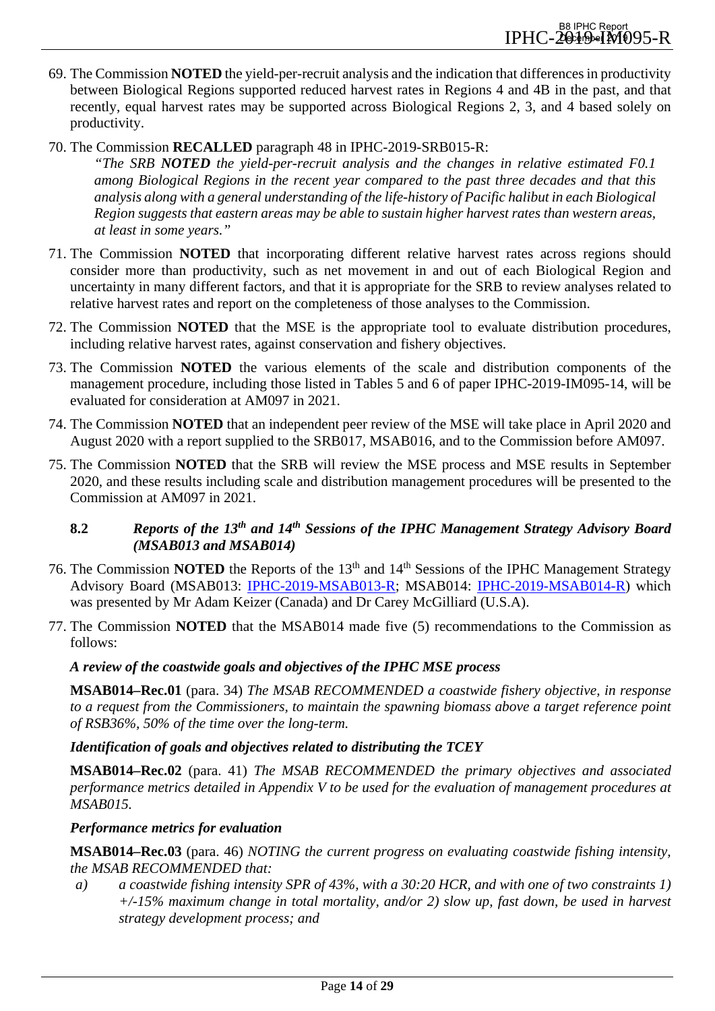- 69. The Commission **NOTED** the yield-per-recruit analysis and the indication that differences in productivity between Biological Regions supported reduced harvest rates in Regions 4 and 4B in the past, and that recently, equal harvest rates may be supported across Biological Regions 2, 3, and 4 based solely on productivity.
- 70. The Commission **RECALLED** paragraph 48 in IPHC-2019-SRB015-R:
	- *"The SRB NOTED the yield-per-recruit analysis and the changes in relative estimated F0.1 among Biological Regions in the recent year compared to the past three decades and that this analysis along with a general understanding of the life-history of Pacific halibut in each Biological Region suggests that eastern areas may be able to sustain higher harvest rates than western areas, at least in some years."*
- 71. The Commission **NOTED** that incorporating different relative harvest rates across regions should consider more than productivity, such as net movement in and out of each Biological Region and uncertainty in many different factors, and that it is appropriate for the SRB to review analyses related to relative harvest rates and report on the completeness of those analyses to the Commission.
- 72. The Commission **NOTED** that the MSE is the appropriate tool to evaluate distribution procedures, including relative harvest rates, against conservation and fishery objectives.
- 73. The Commission **NOTED** the various elements of the scale and distribution components of the management procedure, including those listed in Tables 5 and 6 of paper IPHC-2019-IM095-14, will be evaluated for consideration at AM097 in 2021.
- 74. The Commission **NOTED** that an independent peer review of the MSE will take place in April 2020 and August 2020 with a report supplied to the SRB017, MSAB016, and to the Commission before AM097.
- 75. The Commission **NOTED** that the SRB will review the MSE process and MSE results in September 2020, and these results including scale and distribution management procedures will be presented to the Commission at AM097 in 2021.

## <span id="page-13-0"></span>**8.2** *Reports of the 13th and 14th Sessions of the IPHC Management Strategy Advisory Board (MSAB013 and MSAB014)*

- 76. The Commission **NOTED** the Reports of the 13<sup>th</sup> and 14<sup>th</sup> Sessions of the IPHC Management Strategy Advisory Board (MSAB013: [IPHC-2019-MSAB013-R;](https://www.iphc.int/uploads/pdf/msab/msab13/iphc-2019-msab013-r.pdf) MSAB014: [IPHC-2019-MSAB014-R\)](https://www.iphc.int/uploads/pdf/msab/msab014/iphc-2019-msab014-r.pdf) which was presented by Mr Adam Keizer (Canada) and Dr Carey McGilliard (U.S.A).
- 77. The Commission **NOTED** that the MSAB014 made five (5) recommendations to the Commission as follows:

## *A review of the coastwide goals and objectives of the IPHC MSE process*

**MSAB014–Rec.01** (para. 34) *The MSAB RECOMMENDED a coastwide fishery objective, in response to a request from the Commissioners, to maintain the spawning biomass above a target reference point of RSB36%, 50% of the time over the long-term.*

#### *Identification of goals and objectives related to distributing the TCEY*

**MSAB014–Rec.02** (para. 41) *The MSAB RECOMMENDED the primary objectives and associated performance metrics detailed in Appendix V to be used for the evaluation of management procedures at MSAB015.*

#### *Performance metrics for evaluation*

**MSAB014–Rec.03** (para. 46) *NOTING the current progress on evaluating coastwide fishing intensity, the MSAB RECOMMENDED that:*

*a) a coastwide fishing intensity SPR of 43%, with a 30:20 HCR, and with one of two constraints 1) +/-15% maximum change in total mortality, and/or 2) slow up, fast down, be used in harvest strategy development process; and*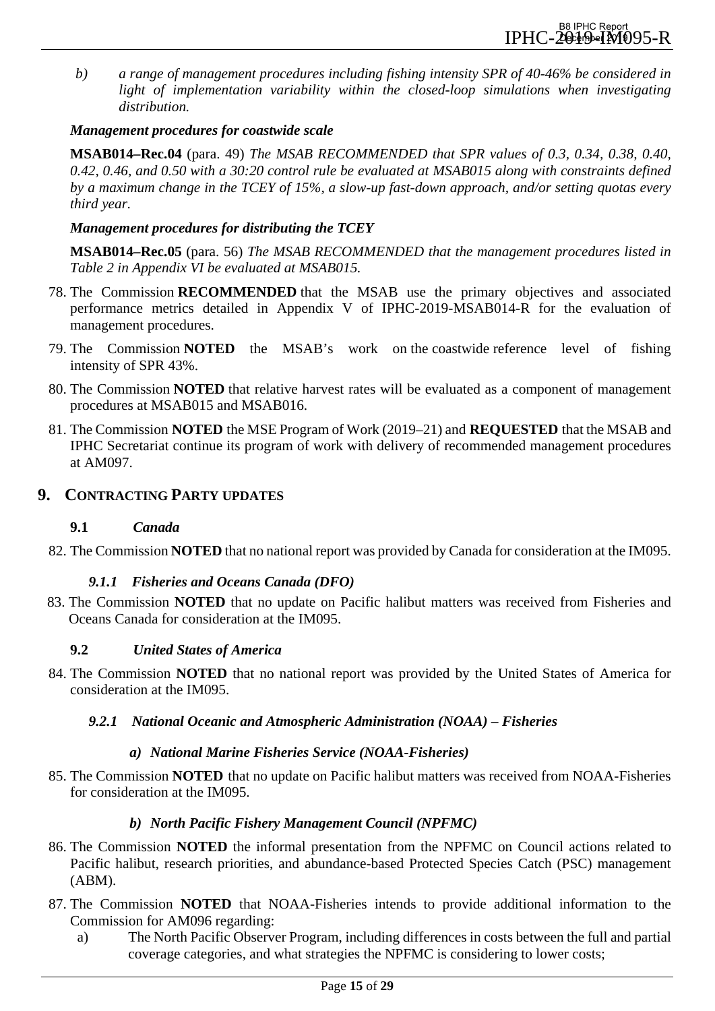*b) a range of management procedures including fishing intensity SPR of 40-46% be considered in light of implementation variability within the closed-loop simulations when investigating distribution.* 

## *Management procedures for coastwide scale*

**MSAB014–Rec.04** (para. 49) *The MSAB RECOMMENDED that SPR values of 0.3, 0.34, 0.38, 0.40, 0.42, 0.46, and 0.50 with a 30:20 control rule be evaluated at MSAB015 along with constraints defined by a maximum change in the TCEY of 15%, a slow-up fast-down approach, and/or setting quotas every third year.*

## *Management procedures for distributing the TCEY*

**MSAB014–Rec.05** (para. 56) *The MSAB RECOMMENDED that the management procedures listed in Table 2 in Appendix VI be evaluated at MSAB015.*

- <span id="page-14-3"></span>78. The Commission **RECOMMENDED** that the MSAB use the primary objectives and associated performance metrics detailed in Appendix V of IPHC-2019-MSAB014-R for the evaluation of management procedures.
- 79. The Commission **NOTED** the MSAB's work on the coastwide reference level of fishing intensity of SPR 43%.
- 80. The Commission **NOTED** that relative harvest rates will be evaluated as a component of management procedures at MSAB015 and MSAB016.
- <span id="page-14-4"></span>81. The Commission **NOTED** the MSE Program of Work (2019–21) and **REQUESTED** that the MSAB and IPHC Secretariat continue its program of work with delivery of recommended management procedures at AM097.

## <span id="page-14-1"></span><span id="page-14-0"></span>**9. CONTRACTING PARTY UPDATES**

## **9.1** *Canada*

82. The Commission **NOTED** that no national report was provided by Canada for consideration at the IM095.

## *9.1.1 Fisheries and Oceans Canada (DFO)*

83. The Commission **NOTED** that no update on Pacific halibut matters was received from Fisheries and Oceans Canada for consideration at the IM095.

## <span id="page-14-2"></span>**9.2** *United States of America*

84. The Commission **NOTED** that no national report was provided by the United States of America for consideration at the IM095.

## *9.2.1 National Oceanic and Atmospheric Administration (NOAA) – Fisheries*

## *a) National Marine Fisheries Service (NOAA-Fisheries)*

85. The Commission **NOTED** that no update on Pacific halibut matters was received from NOAA-Fisheries for consideration at the IM095.

## *b) North Pacific Fishery Management Council (NPFMC)*

- 86. The Commission **NOTED** the informal presentation from the NPFMC on Council actions related to Pacific halibut, research priorities, and abundance-based Protected Species Catch (PSC) management (ABM).
- 87. The Commission **NOTED** that NOAA-Fisheries intends to provide additional information to the Commission for AM096 regarding:
	- a) The North Pacific Observer Program, including differences in costs between the full and partial coverage categories, and what strategies the NPFMC is considering to lower costs;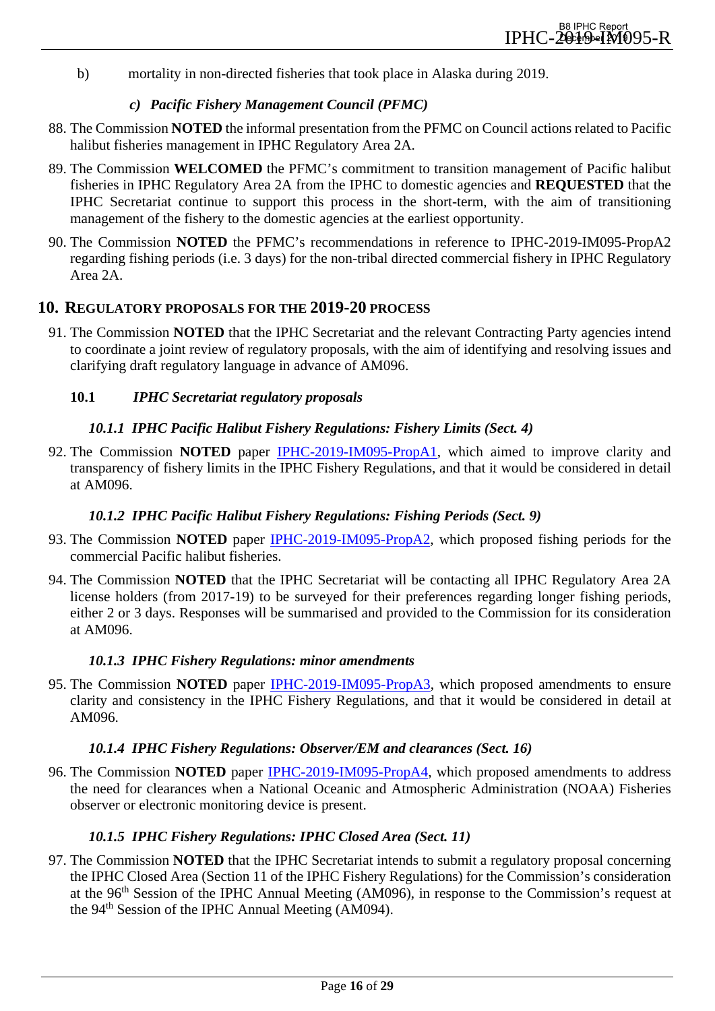b) mortality in non-directed fisheries that took place in Alaska during 2019.

#### *c) Pacific Fishery Management Council (PFMC)*

- 88. The Commission **NOTED** the informal presentation from the PFMC on Council actions related to Pacific halibut fisheries management in IPHC Regulatory Area 2A.
- <span id="page-15-7"></span>89. The Commission **WELCOMED** the PFMC's commitment to transition management of Pacific halibut fisheries in IPHC Regulatory Area 2A from the IPHC to domestic agencies and **REQUESTED** that the IPHC Secretariat continue to support this process in the short-term, with the aim of transitioning management of the fishery to the domestic agencies at the earliest opportunity.
- 90. The Commission **NOTED** the PFMC's recommendations in reference to IPHC-2019-IM095-PropA2 regarding fishing periods (i.e. 3 days) for the non-tribal directed commercial fishery in IPHC Regulatory Area 2A.

## <span id="page-15-0"></span>**10. REGULATORY PROPOSALS FOR THE 2019-20 PROCESS**

91. The Commission **NOTED** that the IPHC Secretariat and the relevant Contracting Party agencies intend to coordinate a joint review of regulatory proposals, with the aim of identifying and resolving issues and clarifying draft regulatory language in advance of AM096.

#### <span id="page-15-2"></span><span id="page-15-1"></span>**10.1** *IPHC Secretariat regulatory proposals*

#### *10.1.1 IPHC Pacific Halibut Fishery Regulations: Fishery Limits (Sect. 4)*

92. The Commission **NOTED** paper [IPHC-2019-IM095-PropA1,](https://www.iphc.int/uploads/pdf/im/im095/iphc-2019-im095-propa1.pdf) which aimed to improve clarity and transparency of fishery limits in the IPHC Fishery Regulations, and that it would be considered in detail at AM096.

#### *10.1.2 IPHC Pacific Halibut Fishery Regulations: Fishing Periods (Sect. 9)*

- <span id="page-15-3"></span>93. The Commission **NOTED** paper [IPHC-2019-IM095-PropA2,](https://www.iphc.int/uploads/pdf/im/im095/iphc-2019-im095-propa2.pdf) which proposed fishing periods for the commercial Pacific halibut fisheries.
- 94. The Commission **NOTED** that the IPHC Secretariat will be contacting all IPHC Regulatory Area 2A license holders (from 2017-19) to be surveyed for their preferences regarding longer fishing periods, either 2 or 3 days. Responses will be summarised and provided to the Commission for its consideration at AM096.

#### *10.1.3 IPHC Fishery Regulations: minor amendments*

<span id="page-15-4"></span>95. The Commission **NOTED** paper [IPHC-2019-IM095-PropA3,](https://www.iphc.int/uploads/pdf/im/im095/iphc-2019-im095-propa3.pdf) which proposed amendments to ensure clarity and consistency in the IPHC Fishery Regulations, and that it would be considered in detail at AM096.

#### *10.1.4 IPHC Fishery Regulations: Observer/EM and clearances (Sect. 16)*

<span id="page-15-5"></span>96. The Commission **NOTED** paper [IPHC-2019-IM095-PropA4,](https://www.iphc.int/uploads/pdf/im/im095/iphc-2019-im095-propa4.pdf) which proposed amendments to address the need for clearances when a National Oceanic and Atmospheric Administration (NOAA) Fisheries observer or electronic monitoring device is present.

#### *10.1.5 IPHC Fishery Regulations: IPHC Closed Area (Sect. 11)*

<span id="page-15-6"></span>97. The Commission **NOTED** that the IPHC Secretariat intends to submit a regulatory proposal concerning the IPHC Closed Area (Section 11 of the IPHC Fishery Regulations) for the Commission's consideration at the 96<sup>th</sup> Session of the IPHC Annual Meeting (AM096), in response to the Commission's request at the  $94<sup>th</sup>$  Session of the IPHC Annual Meeting (AM094).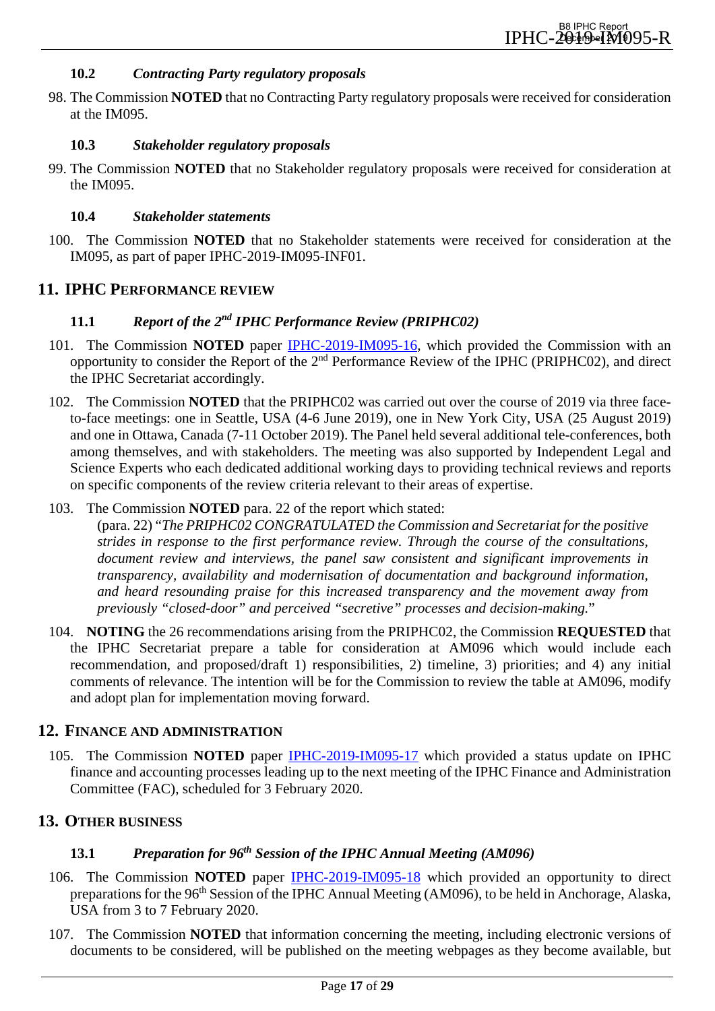#### **10.2** *Contracting Party regulatory proposals*

<span id="page-16-0"></span>98. The Commission **NOTED** that no Contracting Party regulatory proposals were received for consideration at the IM095.

#### <span id="page-16-1"></span>**10.3** *Stakeholder regulatory proposals*

<span id="page-16-2"></span>99. The Commission **NOTED** that no Stakeholder regulatory proposals were received for consideration at the IM095.

#### **10.4** *Stakeholder statements*

100. The Commission **NOTED** that no Stakeholder statements were received for consideration at the IM095, as part of paper IPHC-2019-IM095-INF01.

#### <span id="page-16-4"></span><span id="page-16-3"></span>**11. IPHC PERFORMANCE REVIEW**

#### **11.1** *Report of the 2nd IPHC Performance Review (PRIPHC02)*

- 101. The Commission **NOTED** paper [IPHC-2019-IM095-16,](https://www.iphc.int/uploads/pdf/im/im095/iphc-2019-im095-16.pdf) which provided the Commission with an opportunity to consider the Report of the 2nd Performance Review of the IPHC (PRIPHC02), and direct the IPHC Secretariat accordingly.
- 102. The Commission **NOTED** that the PRIPHC02 was carried out over the course of 2019 via three faceto-face meetings: one in Seattle, USA (4-6 June 2019), one in New York City, USA (25 August 2019) and one in Ottawa, Canada (7-11 October 2019). The Panel held several additional tele-conferences, both among themselves, and with stakeholders. The meeting was also supported by Independent Legal and Science Experts who each dedicated additional working days to providing technical reviews and reports on specific components of the review criteria relevant to their areas of expertise.

#### 103. The Commission **NOTED** para. 22 of the report which stated:

(para. 22) "*The PRIPHC02 CONGRATULATED the Commission and Secretariat for the positive strides in response to the first performance review. Through the course of the consultations, document review and interviews, the panel saw consistent and significant improvements in transparency, availability and modernisation of documentation and background information, and heard resounding praise for this increased transparency and the movement away from previously "closed-door" and perceived "secretive" processes and decision-making.*"

<span id="page-16-8"></span>104. **NOTING** the 26 recommendations arising from the PRIPHC02, the Commission **REQUESTED** that the IPHC Secretariat prepare a table for consideration at AM096 which would include each recommendation, and proposed/draft 1) responsibilities, 2) timeline, 3) priorities; and 4) any initial comments of relevance. The intention will be for the Commission to review the table at AM096, modify and adopt plan for implementation moving forward.

#### <span id="page-16-5"></span>**12. FINANCE AND ADMINISTRATION**

105. The Commission **NOTED** paper [IPHC-2019-IM095-17](https://www.iphc.int/uploads/pdf/im/im095/iphc-2019-im095-17.pdf) which provided a status update on IPHC finance and accounting processes leading up to the next meeting of the IPHC Finance and Administration Committee (FAC), scheduled for 3 February 2020.

## <span id="page-16-7"></span><span id="page-16-6"></span>**13. OTHER BUSINESS**

## **13.1** *Preparation for 96th Session of the IPHC Annual Meeting (AM096)*

- 106. The Commission **NOTED** paper [IPHC-2019-IM095-18](https://www.iphc.int/uploads/pdf/im/im095/iphc-2019-im095-18.pdf) which provided an opportunity to direct preparations for the 96<sup>th</sup> Session of the IPHC Annual Meeting (AM096), to be held in Anchorage, Alaska, USA from 3 to 7 February 2020.
- 107. The Commission **NOTED** that information concerning the meeting, including electronic versions of documents to be considered, will be published on the meeting webpages as they become available, but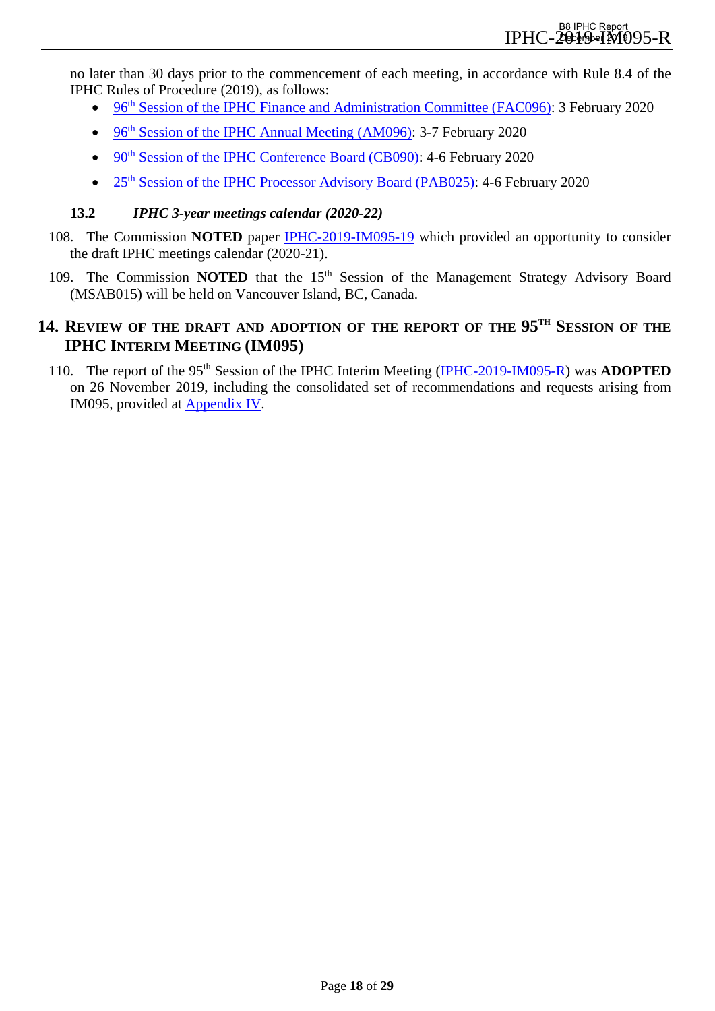no later than 30 days prior to the commencement of each meeting, in accordance with Rule 8.4 of the IPHC Rules of Procedure (2019), as follows:

- [96th Session of the IPHC Finance and Administration Committee \(FAC096\):](https://www.iphc.int/venues/details/96th-session-of-the-iphc-finance-and-administration-committee-fac) 3 February 2020
- 96<sup>th</sup> Session of the IPHC Annual Meeting (AM096): 3-7 February 2020
- 90<sup>th</sup> Session of the IPHC Conference Board (CB090): 4-6 February 2020
- [25th Session of the IPHC Processor Advisory Board \(PAB025\):](https://www.iphc.int/venues/details/25th-session-of-the-iphc-processor-advisory-board-pab025) 4-6 February 2020

## <span id="page-17-0"></span>**13.2** *IPHC 3-year meetings calendar (2020-22)*

- 108. The Commission **NOTED** paper [IPHC-2019-IM095-19](https://www.iphc.int/uploads/pdf/im/im095/iphc-2019-im095-19.pdf) which provided an opportunity to consider the draft IPHC meetings calendar (2020-21).
- 109. The Commission **NOTED** that the 15<sup>th</sup> Session of the Management Strategy Advisory Board (MSAB015) will be held on Vancouver Island, BC, Canada.

## <span id="page-17-1"></span>**14. REVIEW OF THE DRAFT AND ADOPTION OF THE REPORT OF THE 95TH SESSION OF THE IPHC INTERIM MEETING (IM095)**

110. The report of the 95th Session of the IPHC Interim Meeting [\(IPHC-2019-IM095-R\)](https://www.iphc.int/venues/details/95th-session-of-the-iphc-interim-meeting-im095) was **ADOPTED** on 26 November 2019, including the consolidated set of recommendations and requests arising from IM095, provided at [Appendix IV.](#page-27-0)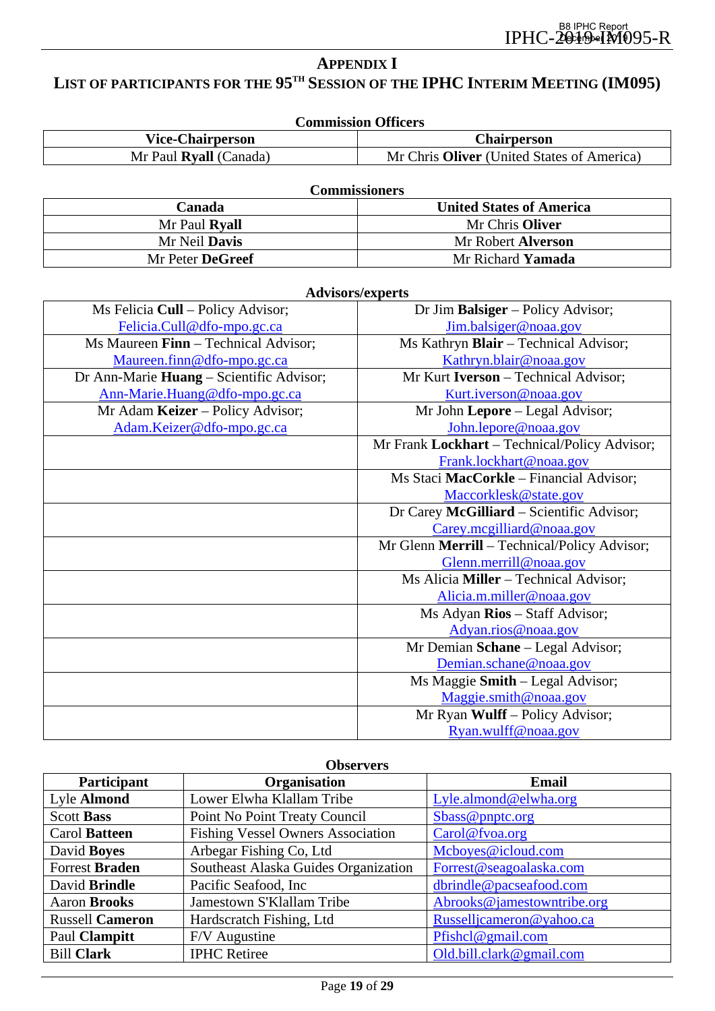## <span id="page-18-0"></span>**APPENDIX I** LIST OF PARTICIPANTS FOR THE 95<sup>TH</sup> SESSION OF THE **IPHC INTERIM MEETING (IM095)**

| <b>Commission Officers</b> |                                            |  |
|----------------------------|--------------------------------------------|--|
| <b>Vice-Chairperson</b>    | <b>Chairperson</b>                         |  |
| Mr Paul Ryall (Canada)     | Mr Chris Oliver (United States of America) |  |

| <b>Commissioners</b> |                                 |  |
|----------------------|---------------------------------|--|
| <b>Canada</b>        | <b>United States of America</b> |  |
| Mr Paul Ryall        | Mr Chris Oliver                 |  |
| Mr Neil <b>Davis</b> | Mr Robert <b>Alverson</b>       |  |
| Mr Peter DeGreef     | Mr Richard <b>Yamada</b>        |  |

| <b>Advisors/experts</b>                  |                                               |  |
|------------------------------------------|-----------------------------------------------|--|
| Ms Felicia Cull – Policy Advisor;        | Dr Jim Balsiger – Policy Advisor;             |  |
| Felicia.Cull@dfo-mpo.gc.ca               | Jim.balsiger@noaa.gov                         |  |
| Ms Maureen Finn - Technical Advisor;     | Ms Kathryn Blair - Technical Advisor;         |  |
| Maureen.finn@dfo-mpo.gc.ca               | Kathryn.blair@noaa.gov                        |  |
| Dr Ann-Marie Huang – Scientific Advisor; | Mr Kurt <b>Iverson</b> – Technical Advisor;   |  |
| Ann-Marie.Huang@dfo-mpo.gc.ca            | Kurt.iverson@noaa.gov                         |  |
| Mr Adam Keizer - Policy Advisor;         | Mr John Lepore - Legal Advisor;               |  |
| Adam.Keizer@dfo-mpo.gc.ca                | John.lepore@noaa.gov                          |  |
|                                          | Mr Frank Lockhart - Technical/Policy Advisor; |  |
|                                          | Frank.lockhart@noaa.gov                       |  |
|                                          | Ms Staci MacCorkle - Financial Advisor;       |  |
|                                          | Maccorklesk@state.gov                         |  |
|                                          | Dr Carey McGilliard - Scientific Advisor;     |  |
|                                          | Carey.mcgilliard@noaa.gov                     |  |
|                                          | Mr Glenn Merrill - Technical/Policy Advisor;  |  |
|                                          | Glenn.merrill@noaa.gov                        |  |
|                                          | Ms Alicia Miller - Technical Advisor;         |  |
|                                          | Alicia.m.miller@noaa.gov                      |  |
|                                          | Ms Adyan Rios - Staff Advisor;                |  |
|                                          | Adyan.rios@noaa.gov                           |  |
|                                          | Mr Demian Schane - Legal Advisor;             |  |
|                                          | Demian.schane@noaa.gov                        |  |
|                                          | Ms Maggie Smith – Legal Advisor;              |  |
|                                          | Maggie.smith@noaa.gov                         |  |
|                                          | Mr Ryan Wulff - Policy Advisor;               |  |
|                                          | Ryan.wulff@noaa.gov                           |  |

| <b>Observers</b>       |                                          |                            |  |
|------------------------|------------------------------------------|----------------------------|--|
| Participant            | <b>Organisation</b>                      | <b>Email</b>               |  |
| Lyle Almond            | Lower Elwha Klallam Tribe                | Lyle.almond@elwha.org      |  |
| <b>Scott Bass</b>      | Point No Point Treaty Council            | Sbass@pnptc.org            |  |
| Carol Batteen          | <b>Fishing Vessel Owners Association</b> | Carol@fvoa.org             |  |
| David Boyes            | Arbegar Fishing Co, Ltd                  | Mcboyes@icloud.com         |  |
| <b>Forrest Braden</b>  | Southeast Alaska Guides Organization     | Forrest@seagoalaska.com    |  |
| David Brindle          | Pacific Seafood, Inc                     | dbrindle@pacseafood.com    |  |
| <b>Aaron Brooks</b>    | Jamestown S'Klallam Tribe                | Abrooks@jamestowntribe.org |  |
| <b>Russell Cameron</b> | Hardscratch Fishing, Ltd                 | Russelljcameron@yahoo.ca   |  |
| Paul Clampitt          | F/V Augustine                            | Pfishcl@gmail.com          |  |
| <b>Bill Clark</b>      | <b>IPHC</b> Retiree                      | Old.bill.clark@gmail.com   |  |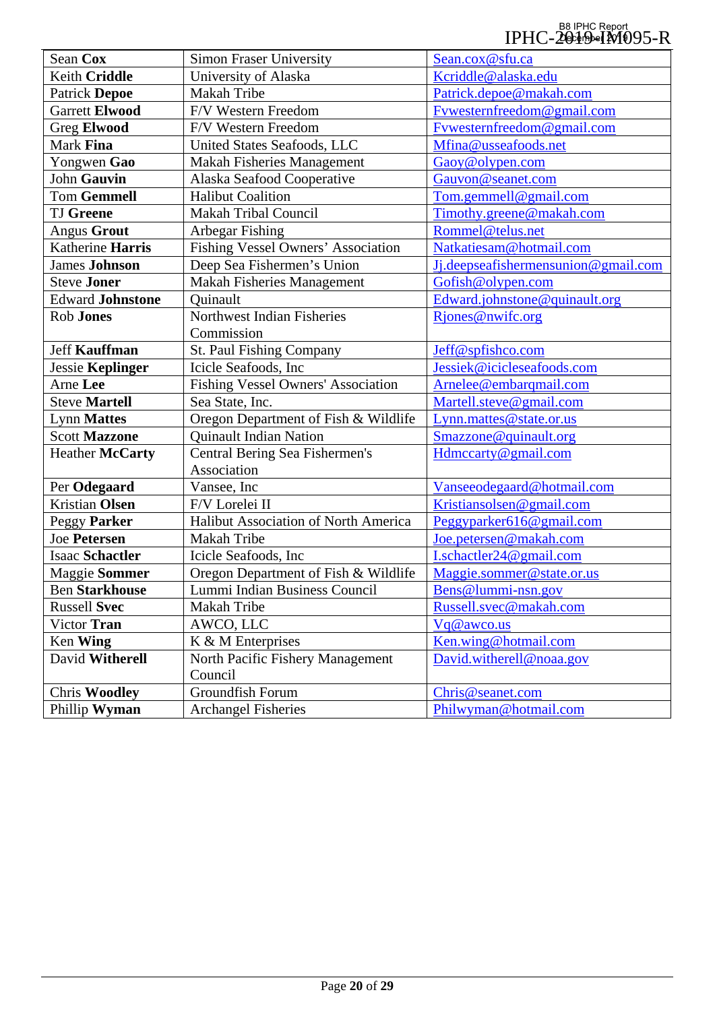#### B8 IPHC Report<br>IPHC-2019-1M095-R December 2019

| Sean Cox                | <b>Simon Fraser University</b>       | Sean.cox@sfu.ca                     |
|-------------------------|--------------------------------------|-------------------------------------|
| Keith Criddle           | University of Alaska                 | Kcriddle@alaska.edu                 |
| <b>Patrick Depoe</b>    | Makah Tribe                          | Patrick.depoe@makah.com             |
| <b>Garrett Elwood</b>   | F/V Western Freedom                  | Fywesternfreedom@gmail.com          |
| <b>Greg Elwood</b>      | F/V Western Freedom                  | Fywesternfreedom@gmail.com          |
| Mark Fina               | United States Seafoods, LLC          | Mfina@usseafoods.net                |
| Yongwen Gao             | <b>Makah Fisheries Management</b>    | Gaoy@olypen.com                     |
| John Gauvin             | Alaska Seafood Cooperative           | Gauvon@seanet.com                   |
| <b>Tom Gemmell</b>      | <b>Halibut Coalition</b>             | Tom.gemmell@gmail.com               |
| <b>TJ</b> Greene        | Makah Tribal Council                 | Timothy.greene@makah.com            |
| <b>Angus Grout</b>      | Arbegar Fishing                      | Rommel@telus.net                    |
| Katherine Harris        | Fishing Vessel Owners' Association   | Natkatiesam@hotmail.com             |
| <b>James Johnson</b>    | Deep Sea Fishermen's Union           | Jj.deepseafishermensunion@gmail.com |
| <b>Steve Joner</b>      | Makah Fisheries Management           | Gofish@olypen.com                   |
| <b>Edward Johnstone</b> | Ouinault                             | Edward.johnstone@quinault.org       |
| Rob Jones               | Northwest Indian Fisheries           | Rjones@nwifc.org                    |
|                         | Commission                           |                                     |
| <b>Jeff Kauffman</b>    | St. Paul Fishing Company             | Jeff@spfishco.com                   |
| Jessie Keplinger        | Icicle Seafoods, Inc.                | Jessiek@icicleseafoods.com          |
| Arne Lee                | Fishing Vessel Owners' Association   | Arnelee@embarqmail.com              |
| <b>Steve Martell</b>    | Sea State, Inc.                      | Martell.steve@gmail.com             |
| <b>Lynn Mattes</b>      | Oregon Department of Fish & Wildlife | Lynn.mattes@state.or.us             |
| <b>Scott Mazzone</b>    | <b>Quinault Indian Nation</b>        | Smazzone@quinault.org               |
| <b>Heather McCarty</b>  | Central Bering Sea Fishermen's       | Hdmccarty@gmail.com                 |
|                         | Association                          |                                     |
| Per Odegaard            | Vansee, Inc                          | Vanseeodegaard@hotmail.com          |
| <b>Kristian Olsen</b>   | F/V Lorelei II                       | Kristiansolsen@gmail.com            |
| Peggy Parker            | Halibut Association of North America | Peggyparker616@gmail.com            |
| <b>Joe Petersen</b>     | Makah Tribe                          | Joe.petersen@makah.com              |
| <b>Isaac Schactler</b>  | Icicle Seafoods, Inc                 | <u>I.schactler24@gmail.com</u>      |
| Maggie Sommer           | Oregon Department of Fish & Wildlife | Maggie.sommer@state.or.us           |
| <b>Ben Starkhouse</b>   | Lummi Indian Business Council        | Bens@lummi-nsn.gov                  |
| <b>Russell Svec</b>     | Makah Tribe                          | Russell.svec@makah.com              |
| Victor Tran             | AWCO, LLC                            | Vq@awco.us                          |
| Ken Wing                | K & M Enterprises                    | Ken.wing@hotmail.com                |
| David Witherell         | North Pacific Fishery Management     | David.witherell@noaa.gov            |
|                         | Council                              |                                     |
| <b>Chris Woodley</b>    | Groundfish Forum                     | Chris@seanet.com                    |
| Phillip Wyman           | <b>Archangel Fisheries</b>           | Philwyman@hotmail.com               |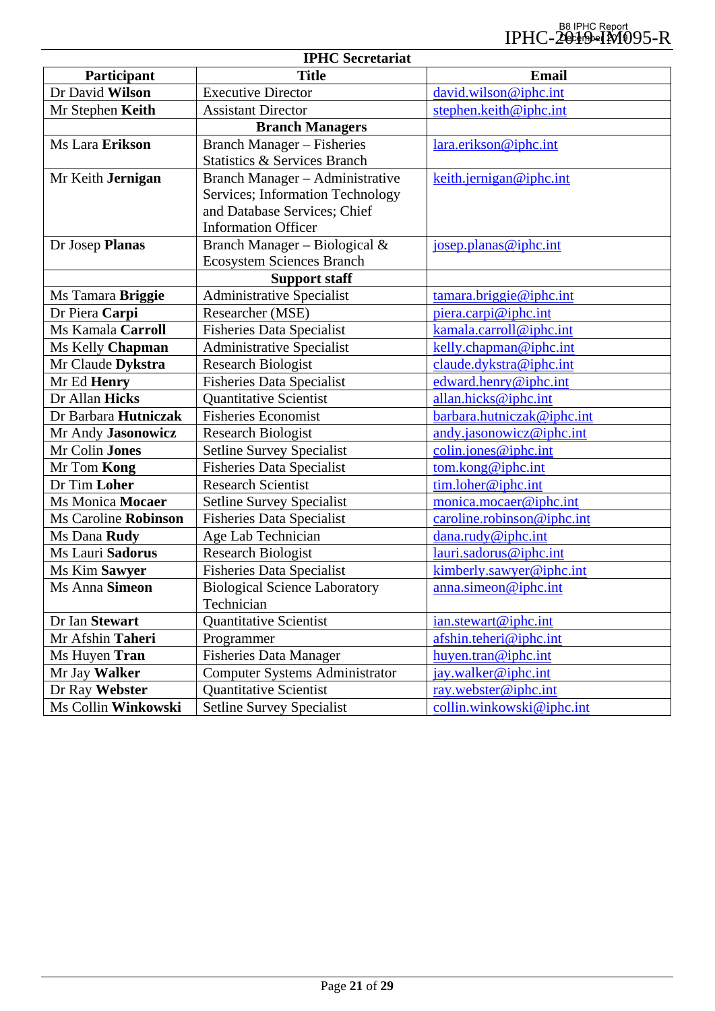| <b>IPHC</b> Secretariat |                                         |                                                                           |  |
|-------------------------|-----------------------------------------|---------------------------------------------------------------------------|--|
| Participant             | <b>Title</b>                            | <b>Email</b>                                                              |  |
| Dr David Wilson         | <b>Executive Director</b>               | david.wilson@iphc.int                                                     |  |
| Mr Stephen Keith        | <b>Assistant Director</b>               | stephen.keith@iphc.int                                                    |  |
|                         | <b>Branch Managers</b>                  |                                                                           |  |
| Ms Lara Erikson         | <b>Branch Manager – Fisheries</b>       | lara.erikson@iphc.int                                                     |  |
|                         | <b>Statistics &amp; Services Branch</b> |                                                                           |  |
| Mr Keith Jernigan       | Branch Manager - Administrative         | keith.jernigan@iphc.int                                                   |  |
|                         | Services; Information Technology        |                                                                           |  |
|                         | and Database Services; Chief            |                                                                           |  |
|                         | <b>Information Officer</b>              |                                                                           |  |
| Dr Josep Planas         | Branch Manager – Biological $&$         | josep.planas@iphc.int                                                     |  |
|                         | <b>Ecosystem Sciences Branch</b>        |                                                                           |  |
|                         | <b>Support staff</b>                    |                                                                           |  |
| Ms Tamara Briggie       | <b>Administrative Specialist</b>        | tamara.briggie@iphc.int                                                   |  |
| Dr Piera Carpi          | Researcher (MSE)                        | piera.carpi@iphc.int                                                      |  |
| Ms Kamala Carroll       | <b>Fisheries Data Specialist</b>        | kamala.carroll@iphc.int                                                   |  |
| Ms Kelly Chapman        | <b>Administrative Specialist</b>        | kelly.chapman@iphc.int                                                    |  |
| Mr Claude Dykstra       | <b>Research Biologist</b>               | claude.dykstra@iphc.int                                                   |  |
| Mr Ed Henry             | <b>Fisheries Data Specialist</b>        | edward.henry@iphc.int                                                     |  |
| Dr Allan Hicks          | <b>Quantitative Scientist</b>           | allan.hicks@iphc.int                                                      |  |
| Dr Barbara Hutniczak    | <b>Fisheries Economist</b>              | barbara.hutniczak@iphc.int                                                |  |
| Mr Andy Jasonowicz      | <b>Research Biologist</b>               | andy.jasonowicz@iphc.int                                                  |  |
| Mr Colin Jones          | <b>Setline Survey Specialist</b>        | $\frac{\text{colin.} \text{jones} \omega}{\text{iphc.} \cdot \text{int}}$ |  |
| Mr Tom Kong             | <b>Fisheries Data Specialist</b>        | tom.kong@iphc.int                                                         |  |
| Dr Tim Loher            | <b>Research Scientist</b>               | tim.loher@iphc.int                                                        |  |
| Ms Monica Mocaer        | <b>Setline Survey Specialist</b>        | monica.mocaer@iphc.int                                                    |  |
| Ms Caroline Robinson    | <b>Fisheries Data Specialist</b>        | caroline.robinson@iphc.int                                                |  |
| Ms Dana Rudy            | Age Lab Technician                      | dana.rudy@iphc.int                                                        |  |
| Ms Lauri Sadorus        | <b>Research Biologist</b>               | lauri.sadorus@iphc.int                                                    |  |
| Ms Kim Sawyer           | <b>Fisheries Data Specialist</b>        | kimberly.sawyer@iphc.int                                                  |  |
| Ms Anna Simeon          | <b>Biological Science Laboratory</b>    | anna.simeon@iphc.int                                                      |  |
|                         | Technician                              |                                                                           |  |
| Dr Ian Stewart          | Quantitative Scientist                  | ian.stewart@iphc.int                                                      |  |
| Mr Afshin Taheri        | Programmer                              | afshin.teheri@iphc.int                                                    |  |
| Ms Huyen Tran           | <b>Fisheries Data Manager</b>           | huyen.tran@iphc.int                                                       |  |
| Mr Jay Walker           | <b>Computer Systems Administrator</b>   | jay.walker@iphc.int                                                       |  |
| Dr Ray Webster          | <b>Quantitative Scientist</b>           | ray.webster@iphc.int                                                      |  |
| Ms Collin Winkowski     | <b>Setline Survey Specialist</b>        | collin.winkowski@iphc.int                                                 |  |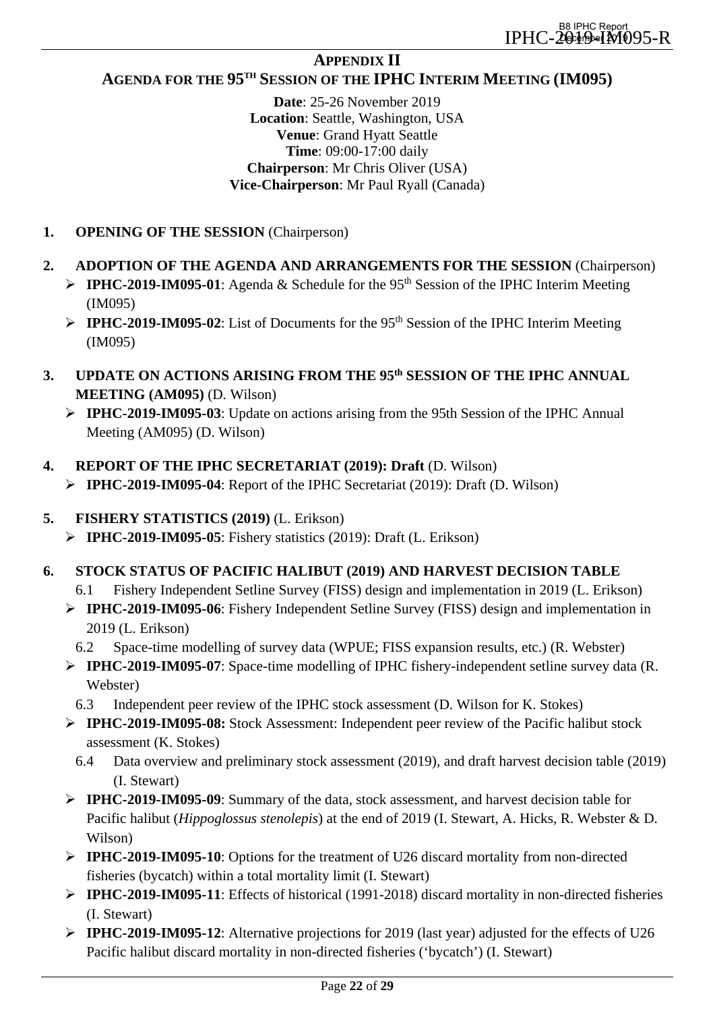## **APPENDIX II**

## <span id="page-21-0"></span>**AGENDA FOR THE 95TH SESSION OF THE IPHC INTERIM MEETING (IM095)**

**Date**: 25-26 November 2019 **Location**: Seattle, Washington, USA **Venue**: Grand Hyatt Seattle **Time**: 09:00-17:00 daily **Chairperson**: Mr Chris Oliver (USA) **Vice-Chairperson**: Mr Paul Ryall (Canada)

- **1. OPENING OF THE SESSION** (Chairperson)
- **2. ADOPTION OF THE AGENDA AND ARRANGEMENTS FOR THE SESSION** (Chairperson)
	- **IPHC-2019-IM095-01**: Agenda & Schedule for the 95<sup>th</sup> Session of the IPHC Interim Meeting (IM095)
	- **IPHC-2019-IM095-02:** List of Documents for the 95<sup>th</sup> Session of the IPHC Interim Meeting (IM095)
- **3. UPDATE ON ACTIONS ARISING FROM THE 95th SESSION OF THE IPHC ANNUAL MEETING (AM095)** (D. Wilson)
	- **IPHC-2019-IM095-03**: Update on actions arising from the 95th Session of the IPHC Annual Meeting (AM095) (D. Wilson)
- **4. REPORT OF THE IPHC SECRETARIAT (2019): Draft** (D. Wilson)
	- **IPHC-2019-IM095-04**: Report of the IPHC Secretariat (2019): Draft (D. Wilson)
- **5. FISHERY STATISTICS (2019)** (L. Erikson)
	- **IPHC-2019-IM095-05**: Fishery statistics (2019): Draft (L. Erikson)
- **6. STOCK STATUS OF PACIFIC HALIBUT (2019) AND HARVEST DECISION TABLE**
	- 6.1 Fishery Independent Setline Survey (FISS) design and implementation in 2019 (L. Erikson)
	- **IPHC-2019-IM095-06**: Fishery Independent Setline Survey (FISS) design and implementation in 2019 (L. Erikson)
		- 6.2 Space-time modelling of survey data (WPUE; FISS expansion results, etc.) (R. Webster)
	- **IPHC-2019-IM095-07**: Space-time modelling of IPHC fishery-independent setline survey data (R. Webster)
		- 6.3 Independent peer review of the IPHC stock assessment (D. Wilson for K. Stokes)
	- **IPHC-2019-IM095-08:** Stock Assessment: Independent peer review of the Pacific halibut stock assessment (K. Stokes)
		- 6.4 Data overview and preliminary stock assessment (2019), and draft harvest decision table (2019) (I. Stewart)
	- **IPHC-2019-IM095-09**: Summary of the data, stock assessment, and harvest decision table for Pacific halibut (*Hippoglossus stenolepis*) at the end of 2019 (I. Stewart, A. Hicks, R. Webster & D. Wilson)
	- **IPHC-2019-IM095-10**: Options for the treatment of U26 discard mortality from non-directed fisheries (bycatch) within a total mortality limit (I. Stewart)
	- **IPHC-2019-IM095-11**: Effects of historical (1991-2018) discard mortality in non-directed fisheries (I. Stewart)
	- **IPHC-2019-IM095-12**: Alternative projections for 2019 (last year) adjusted for the effects of U26 Pacific halibut discard mortality in non-directed fisheries ('bycatch') (I. Stewart)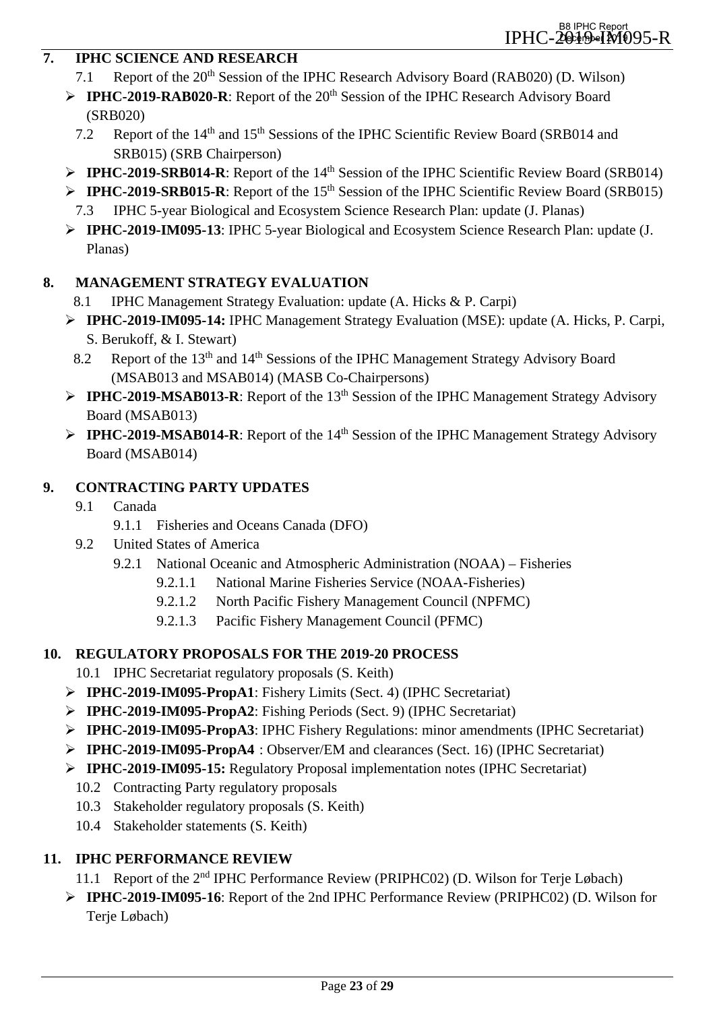## **7. IPHC SCIENCE AND RESEARCH**

- 7.1 Report of the 20<sup>th</sup> Session of the IPHC Research Advisory Board (RAB020) (D. Wilson)
- **IPHC-2019-RAB020-R:** Report of the 20<sup>th</sup> Session of the IPHC Research Advisory Board (SRB020)
	- 7.2 Report of the 14<sup>th</sup> and 15<sup>th</sup> Sessions of the IPHC Scientific Review Board (SRB014 and SRB015) (SRB Chairperson)
- **IPHC-2019-SRB014-R:** Report of the 14<sup>th</sup> Session of the IPHC Scientific Review Board (SRB014)
- **IPHC-2019-SRB015-R:** Report of the 15<sup>th</sup> Session of the IPHC Scientific Review Board (SRB015) 7.3 IPHC 5-year Biological and Ecosystem Science Research Plan: update (J. Planas)
- **IPHC-2019-IM095-13**: IPHC 5-year Biological and Ecosystem Science Research Plan: update (J. Planas)

## **8. MANAGEMENT STRATEGY EVALUATION**

- 8.1 IPHC Management Strategy Evaluation: update (A. Hicks & P. Carpi)
- **IPHC-2019-IM095-14:** IPHC Management Strategy Evaluation (MSE): update (A. Hicks, P. Carpi, S. Berukoff, & I. Stewart)
- 8.2 Report of the 13<sup>th</sup> and 14<sup>th</sup> Sessions of the IPHC Management Strategy Advisory Board (MSAB013 and MSAB014) (MASB Co-Chairpersons)
- **IPHC-2019-MSAB013-R:** Report of the 13<sup>th</sup> Session of the IPHC Management Strategy Advisory Board (MSAB013)
- **IPHC-2019-MSAB014-R:** Report of the 14<sup>th</sup> Session of the IPHC Management Strategy Advisory Board (MSAB014)

## **9. CONTRACTING PARTY UPDATES**

- 9.1 Canada
	- 9.1.1 Fisheries and Oceans Canada (DFO)
- 9.2 United States of America
	- 9.2.1 National Oceanic and Atmospheric Administration (NOAA) Fisheries
		- 9.2.1.1 National Marine Fisheries Service (NOAA-Fisheries)
		- 9.2.1.2 North Pacific Fishery Management Council (NPFMC)
		- 9.2.1.3 Pacific Fishery Management Council (PFMC)

## **10. REGULATORY PROPOSALS FOR THE 2019-20 PROCESS**

- 10.1 IPHC Secretariat regulatory proposals (S. Keith)
- **IPHC-2019-IM095-PropA1**: Fishery Limits (Sect. 4) (IPHC Secretariat)
- **IPHC-2019-IM095-PropA2**: Fishing Periods (Sect. 9) (IPHC Secretariat)
- **IPHC-2019-IM095-PropA3**: IPHC Fishery Regulations: minor amendments (IPHC Secretariat)
- **IPHC-2019-IM095-PropA4** : Observer/EM and clearances (Sect. 16) (IPHC Secretariat)
- **IPHC-2019-IM095-15:** Regulatory Proposal implementation notes (IPHC Secretariat)
	- 10.2 Contracting Party regulatory proposals
	- 10.3 Stakeholder regulatory proposals (S. Keith)
	- 10.4 Stakeholder statements (S. Keith)

## **11. IPHC PERFORMANCE REVIEW**

- 11.1 Report of the 2nd IPHC Performance Review (PRIPHC02) (D. Wilson for Terje Løbach)
- **IPHC-2019-IM095-16**: Report of the 2nd IPHC Performance Review (PRIPHC02) (D. Wilson for Terje Løbach)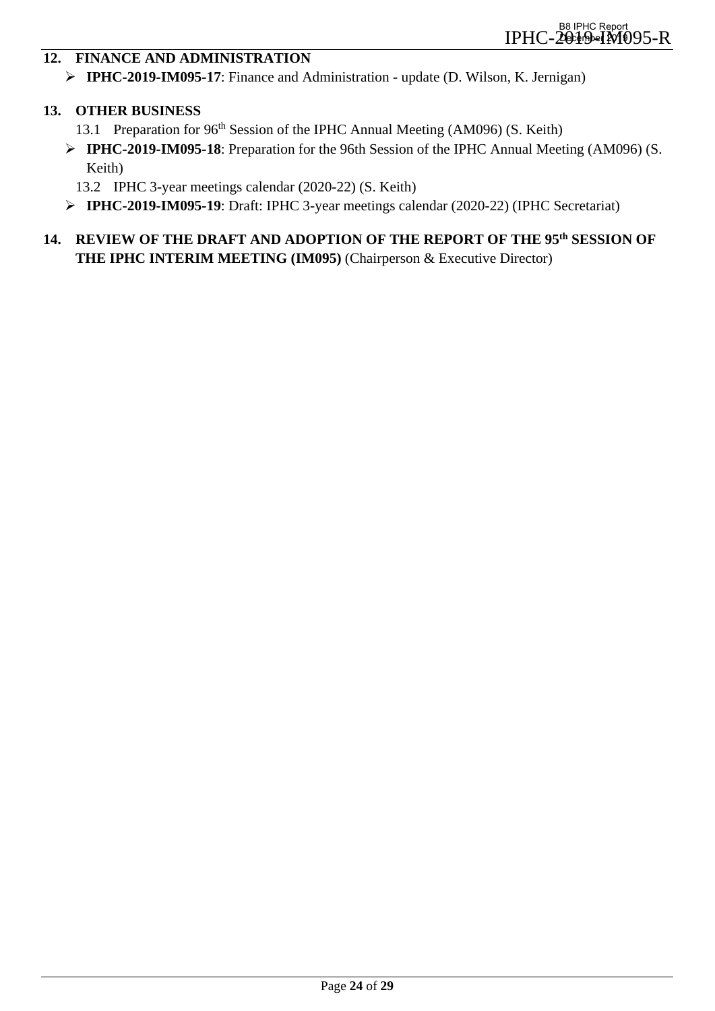## **12. FINANCE AND ADMINISTRATION**

**IPHC-2019-IM095-17**: Finance and Administration - update (D. Wilson, K. Jernigan)

#### **13. OTHER BUSINESS**

- 13.1 Preparation for 96<sup>th</sup> Session of the IPHC Annual Meeting (AM096) (S. Keith)
- **IPHC-2019-IM095-18**: Preparation for the 96th Session of the IPHC Annual Meeting (AM096) (S. Keith)
	- 13.2 IPHC 3-year meetings calendar (2020-22) (S. Keith)
- **IPHC-2019-IM095-19**: Draft: IPHC 3-year meetings calendar (2020-22) (IPHC Secretariat)

## **14. REVIEW OF THE DRAFT AND ADOPTION OF THE REPORT OF THE 95th SESSION OF THE IPHC INTERIM MEETING (IM095)** (Chairperson & Executive Director)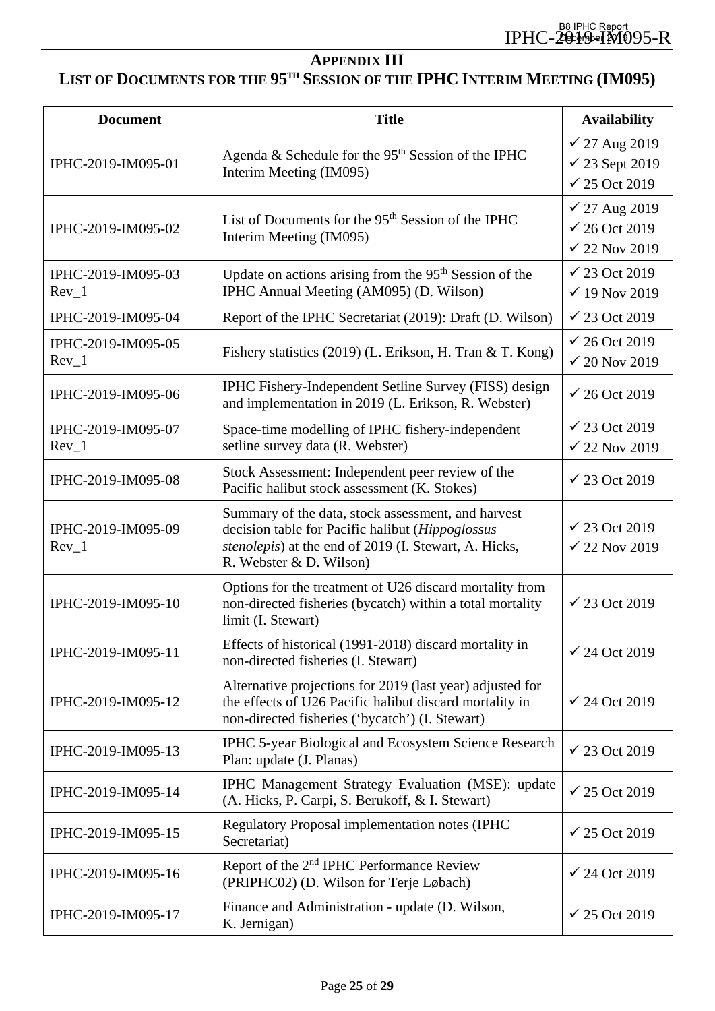# **APPENDIX III**

# <span id="page-24-0"></span>**LIST OF DOCUMENTS FOR THE 95TH SESSION OF THE IPHC INTERIM MEETING (IM095)**

| <b>Document</b>               | <b>Title</b>                                                                                                                                                                               | <b>Availability</b>                                           |
|-------------------------------|--------------------------------------------------------------------------------------------------------------------------------------------------------------------------------------------|---------------------------------------------------------------|
| IPHC-2019-IM095-01            | Agenda & Schedule for the $95th$ Session of the IPHC<br>Interim Meeting (IM095)                                                                                                            | √ 27 Aug 2019<br>$\checkmark$ 23 Sept 2019<br>$√ 25$ Oct 2019 |
| IPHC-2019-IM095-02            | List of Documents for the 95 <sup>th</sup> Session of the IPHC<br>Interim Meeting (IM095)                                                                                                  | √ 27 Aug 2019<br>$√ 26$ Oct 2019<br>$\checkmark$ 22 Nov 2019  |
| IPHC-2019-IM095-03<br>$Rev_1$ | Update on actions arising from the 95 <sup>th</sup> Session of the<br>IPHC Annual Meeting (AM095) (D. Wilson)                                                                              | $\checkmark$ 23 Oct 2019<br>$\checkmark$ 19 Nov 2019          |
| IPHC-2019-IM095-04            | Report of the IPHC Secretariat (2019): Draft (D. Wilson)                                                                                                                                   | $\checkmark$ 23 Oct 2019                                      |
| IPHC-2019-IM095-05<br>$Rev_1$ | Fishery statistics (2019) (L. Erikson, H. Tran & T. Kong)                                                                                                                                  | $√ 26$ Oct 2019<br>$\checkmark$ 20 Nov 2019                   |
| IPHC-2019-IM095-06            | IPHC Fishery-Independent Setline Survey (FISS) design<br>and implementation in 2019 (L. Erikson, R. Webster)                                                                               | $√ 26$ Oct 2019                                               |
| IPHC-2019-IM095-07<br>$Rev_1$ | Space-time modelling of IPHC fishery-independent<br>setline survey data (R. Webster)                                                                                                       | $√ 23$ Oct 2019<br>$\checkmark$ 22 Nov 2019                   |
| IPHC-2019-IM095-08            | Stock Assessment: Independent peer review of the<br>Pacific halibut stock assessment (K. Stokes)                                                                                           | $√ 23$ Oct 2019                                               |
| IPHC-2019-IM095-09<br>$Rev_1$ | Summary of the data, stock assessment, and harvest<br>decision table for Pacific halibut (Hippoglossus<br>stenolepis) at the end of 2019 (I. Stewart, A. Hicks,<br>R. Webster & D. Wilson) | $\checkmark$ 23 Oct 2019<br>$\checkmark$ 22 Nov 2019          |
| IPHC-2019-IM095-10            | Options for the treatment of U26 discard mortality from<br>non-directed fisheries (bycatch) within a total mortality<br>limit (I. Stewart)                                                 | $√ 23$ Oct 2019                                               |
| IPHC-2019-IM095-11            | Effects of historical (1991-2018) discard mortality in<br>non-directed fisheries (I. Stewart)                                                                                              | $\checkmark$ 24 Oct 2019                                      |
| IPHC-2019-IM095-12            | Alternative projections for 2019 (last year) adjusted for<br>the effects of U26 Pacific halibut discard mortality in<br>non-directed fisheries ('bycatch') (I. Stewart)                    | $√ 24$ Oct 2019                                               |
| IPHC-2019-IM095-13            | <b>IPHC 5-year Biological and Ecosystem Science Research</b><br>Plan: update (J. Planas)                                                                                                   | $\checkmark$ 23 Oct 2019                                      |
| IPHC-2019-IM095-14            | IPHC Management Strategy Evaluation (MSE): update<br>(A. Hicks, P. Carpi, S. Berukoff, & I. Stewart)                                                                                       | $√ 25$ Oct 2019                                               |
| IPHC-2019-IM095-15            | Regulatory Proposal implementation notes (IPHC<br>Secretariat)                                                                                                                             | $√ 25$ Oct 2019                                               |
| IPHC-2019-IM095-16            | Report of the 2 <sup>nd</sup> IPHC Performance Review<br>(PRIPHC02) (D. Wilson for Terje Løbach)                                                                                           | $√ 24$ Oct 2019                                               |
| IPHC-2019-IM095-17            | Finance and Administration - update (D. Wilson,<br>K. Jernigan)                                                                                                                            | $\checkmark$ 25 Oct 2019                                      |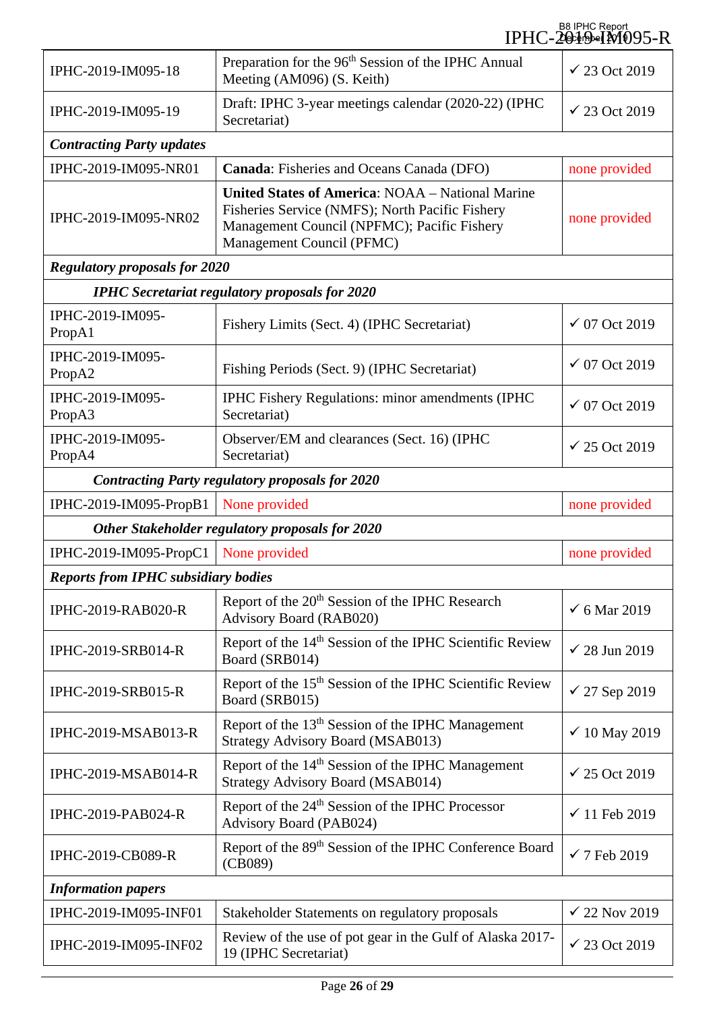|                                            |                                                                                                                                                                                        | B8 IPHC Report<br>IPHC-20thDeIM095-R |  |
|--------------------------------------------|----------------------------------------------------------------------------------------------------------------------------------------------------------------------------------------|--------------------------------------|--|
| IPHC-2019-IM095-18                         | Preparation for the 96 <sup>th</sup> Session of the IPHC Annual<br>Meeting (AM096) (S. Keith)                                                                                          | $√ 23$ Oct 2019                      |  |
| IPHC-2019-IM095-19                         | Draft: IPHC 3-year meetings calendar (2020-22) (IPHC<br>Secretariat)                                                                                                                   | $√ 23$ Oct 2019                      |  |
| <b>Contracting Party updates</b>           |                                                                                                                                                                                        |                                      |  |
| IPHC-2019-IM095-NR01                       | Canada: Fisheries and Oceans Canada (DFO)                                                                                                                                              | none provided                        |  |
| IPHC-2019-IM095-NR02                       | <b>United States of America: NOAA – National Marine</b><br>Fisheries Service (NMFS); North Pacific Fishery<br>Management Council (NPFMC); Pacific Fishery<br>Management Council (PFMC) | none provided                        |  |
| <b>Regulatory proposals for 2020</b>       |                                                                                                                                                                                        |                                      |  |
|                                            | <b>IPHC</b> Secretariat regulatory proposals for 2020                                                                                                                                  |                                      |  |
| IPHC-2019-IM095-<br>PropA1                 | Fishery Limits (Sect. 4) (IPHC Secretariat)                                                                                                                                            | $√ 07$ Oct 2019                      |  |
| IPHC-2019-IM095-<br>PropA2                 | Fishing Periods (Sect. 9) (IPHC Secretariat)                                                                                                                                           | $√ 07$ Oct 2019                      |  |
| IPHC-2019-IM095-<br>PropA3                 | IPHC Fishery Regulations: minor amendments (IPHC<br>Secretariat)                                                                                                                       | $√ 07$ Oct 2019                      |  |
| IPHC-2019-IM095-<br>PropA4                 | Observer/EM and clearances (Sect. 16) (IPHC<br>Secretariat)                                                                                                                            | $√ 25$ Oct 2019                      |  |
|                                            | <b>Contracting Party regulatory proposals for 2020</b>                                                                                                                                 |                                      |  |
| IPHC-2019-IM095-PropB1                     | None provided                                                                                                                                                                          | none provided                        |  |
|                                            | Other Stakeholder regulatory proposals for 2020                                                                                                                                        |                                      |  |
| IPHC-2019-IM095-PropC1                     | None provided                                                                                                                                                                          | none provided                        |  |
| <b>Reports from IPHC subsidiary bodies</b> |                                                                                                                                                                                        |                                      |  |
| <b>IPHC-2019-RAB020-R</b>                  | Report of the 20 <sup>th</sup> Session of the IPHC Research<br>Advisory Board (RAB020)                                                                                                 | $6$ Mar 2019                         |  |
| <b>IPHC-2019-SRB014-R</b>                  | Report of the 14 <sup>th</sup> Session of the IPHC Scientific Review<br>Board (SRB014)                                                                                                 | $\checkmark$ 28 Jun 2019             |  |
| <b>IPHC-2019-SRB015-R</b>                  | Report of the 15 <sup>th</sup> Session of the IPHC Scientific Review<br>Board (SRB015)                                                                                                 | $\checkmark$ 27 Sep 2019             |  |
| <b>IPHC-2019-MSAB013-R</b>                 | Report of the 13 <sup>th</sup> Session of the IPHC Management<br><b>Strategy Advisory Board (MSAB013)</b>                                                                              | $\checkmark$ 10 May 2019             |  |
| IPHC-2019-MSAB014-R                        | Report of the 14 <sup>th</sup> Session of the IPHC Management<br><b>Strategy Advisory Board (MSAB014)</b>                                                                              | $√ 25$ Oct 2019                      |  |
| <b>IPHC-2019-PAB024-R</b>                  | Report of the 24 <sup>th</sup> Session of the IPHC Processor<br>Advisory Board (PAB024)                                                                                                | $\checkmark$ 11 Feb 2019             |  |
| <b>IPHC-2019-CB089-R</b>                   | Report of the 89 <sup>th</sup> Session of the IPHC Conference Board<br>(CB089)                                                                                                         | $\checkmark$ 7 Feb 2019              |  |
| <b>Information papers</b>                  |                                                                                                                                                                                        |                                      |  |
| IPHC-2019-IM095-INF01                      | Stakeholder Statements on regulatory proposals                                                                                                                                         | $\checkmark$ 22 Nov 2019             |  |
| IPHC-2019-IM095-INF02                      | Review of the use of pot gear in the Gulf of Alaska 2017-<br>19 (IPHC Secretariat)                                                                                                     | $√ 23$ Oct 2019                      |  |

l,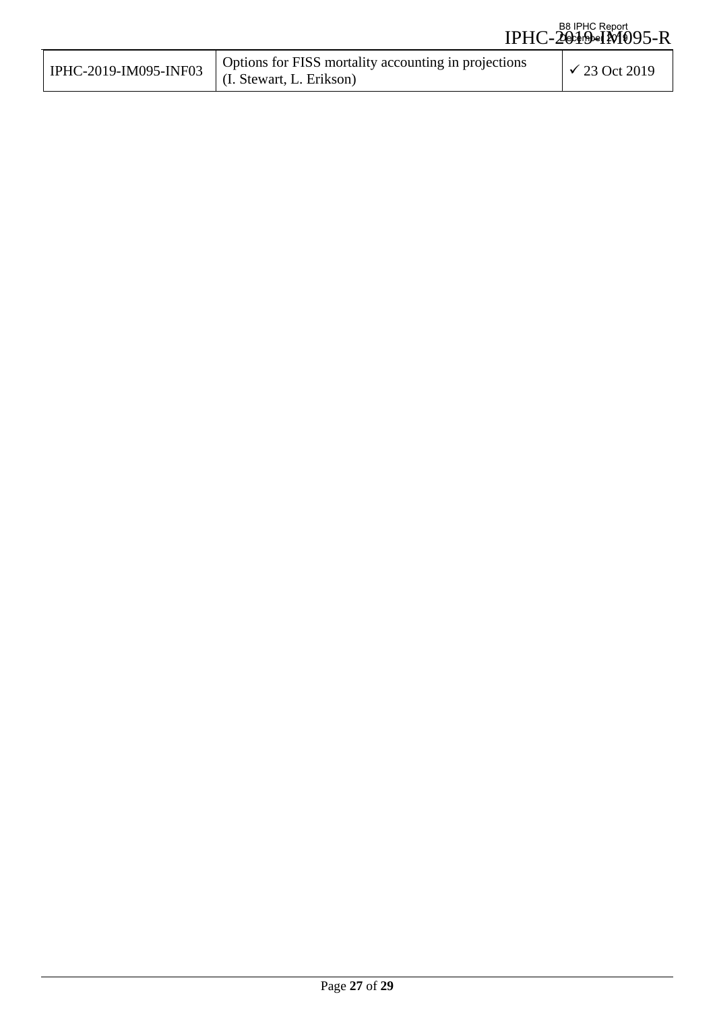| IPHC-2019-IM095-INF03 | Options for FISS mortality accounting in projections<br>(I. Stewart, L. Erikson) | $\sqrt{23}$ Oct 2019 |
|-----------------------|----------------------------------------------------------------------------------|----------------------|
|-----------------------|----------------------------------------------------------------------------------|----------------------|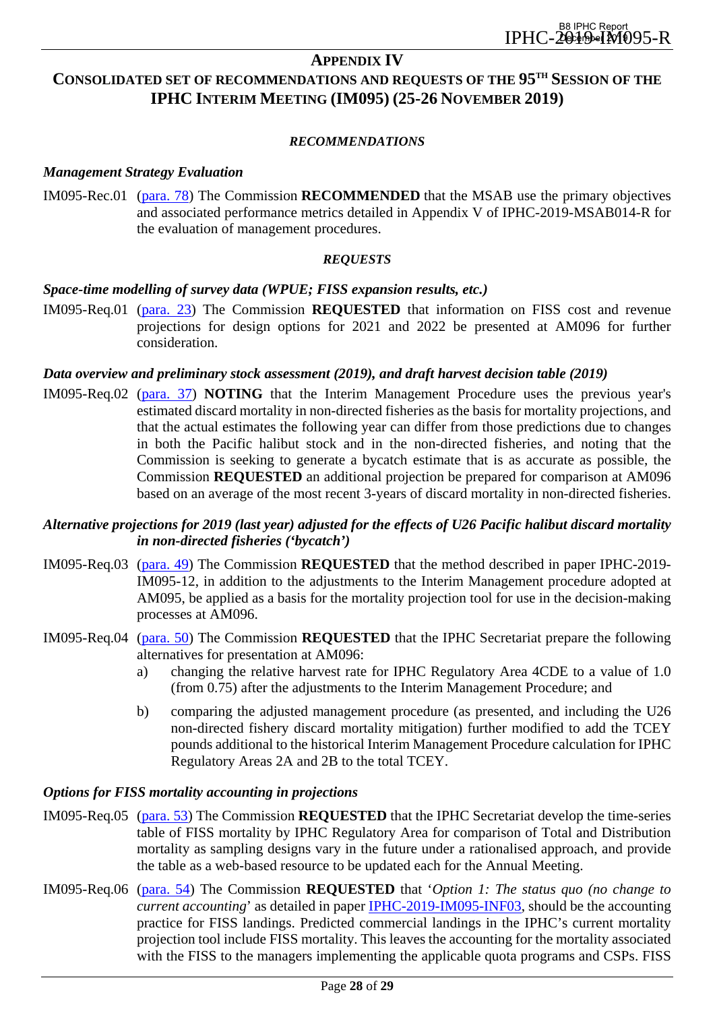#### **APPENDIX IV**

## <span id="page-27-0"></span>**CONSOLIDATED SET OF RECOMMENDATIONS AND REQUESTS OF THE 95TH SESSION OF THE IPHC INTERIM MEETING (IM095) (25-26 NOVEMBER 2019)**

#### *RECOMMENDATIONS*

#### *Management Strategy Evaluation*

IM095-Rec.01 [\(para. 78\)](#page-14-3) The Commission **RECOMMENDED** that the MSAB use the primary objectives and associated performance metrics detailed in Appendix V of IPHC-2019-MSAB014-R for the evaluation of management procedures.

#### *REQUESTS*

#### *Space-time modelling of survey data (WPUE; FISS expansion results, etc.)*

IM095-Req.01 [\(para. 23\)](#page-7-2) The Commission **REQUESTED** that information on FISS cost and revenue projections for design options for 2021 and 2022 be presented at AM096 for further consideration.

#### *Data overview and preliminary stock assessment (2019), and draft harvest decision table (2019)*

IM095-Req.02 [\(para. 37\)](#page-8-0) **NOTING** that the Interim Management Procedure uses the previous year's estimated discard mortality in non-directed fisheries as the basis for mortality projections, and that the actual estimates the following year can differ from those predictions due to changes in both the Pacific halibut stock and in the non-directed fisheries, and noting that the Commission is seeking to generate a bycatch estimate that is as accurate as possible, the Commission **REQUESTED** an additional projection be prepared for comparison at AM096 based on an average of the most recent 3-years of discard mortality in non-directed fisheries.

#### *Alternative projections for 2019 (last year) adjusted for the effects of U26 Pacific halibut discard mortality in non-directed fisheries ('bycatch')*

- IM095-Req.03 [\(para. 49\)](#page-9-2) The Commission **REQUESTED** that the method described in paper IPHC-2019- IM095-12, in addition to the adjustments to the Interim Management procedure adopted at AM095, be applied as a basis for the mortality projection tool for use in the decision-making processes at AM096.
- IM095-Req.04 [\(para. 50\)](#page-9-0) The Commission **REQUESTED** that the IPHC Secretariat prepare the following alternatives for presentation at AM096:
	- a) changing the relative harvest rate for IPHC Regulatory Area 4CDE to a value of 1.0 (from 0.75) after the adjustments to the Interim Management Procedure; and
	- b) comparing the adjusted management procedure (as presented, and including the U26 non-directed fishery discard mortality mitigation) further modified to add the TCEY pounds additional to the historical Interim Management Procedure calculation for IPHC Regulatory Areas 2A and 2B to the total TCEY.

#### *Options for FISS mortality accounting in projections*

- IM095-Req.05 [\(para. 53\)](#page-9-1) The Commission **REQUESTED** that the IPHC Secretariat develop the time-series table of FISS mortality by IPHC Regulatory Area for comparison of Total and Distribution mortality as sampling designs vary in the future under a rationalised approach, and provide the table as a web-based resource to be updated each for the Annual Meeting.
- IM095-Req.06 [\(para. 54\)](#page-9-3) The Commission **REQUESTED** that '*Option 1: The status quo (no change to current accounting*' as detailed in paper [IPHC-2019-IM095-INF03,](https://www.iphc.int/uploads/pdf/im/im095/iphc-2019-im095-inf03.pdf) should be the accounting practice for FISS landings. Predicted commercial landings in the IPHC's current mortality projection tool include FISS mortality. This leaves the accounting for the mortality associated with the FISS to the managers implementing the applicable quota programs and CSPs. FISS